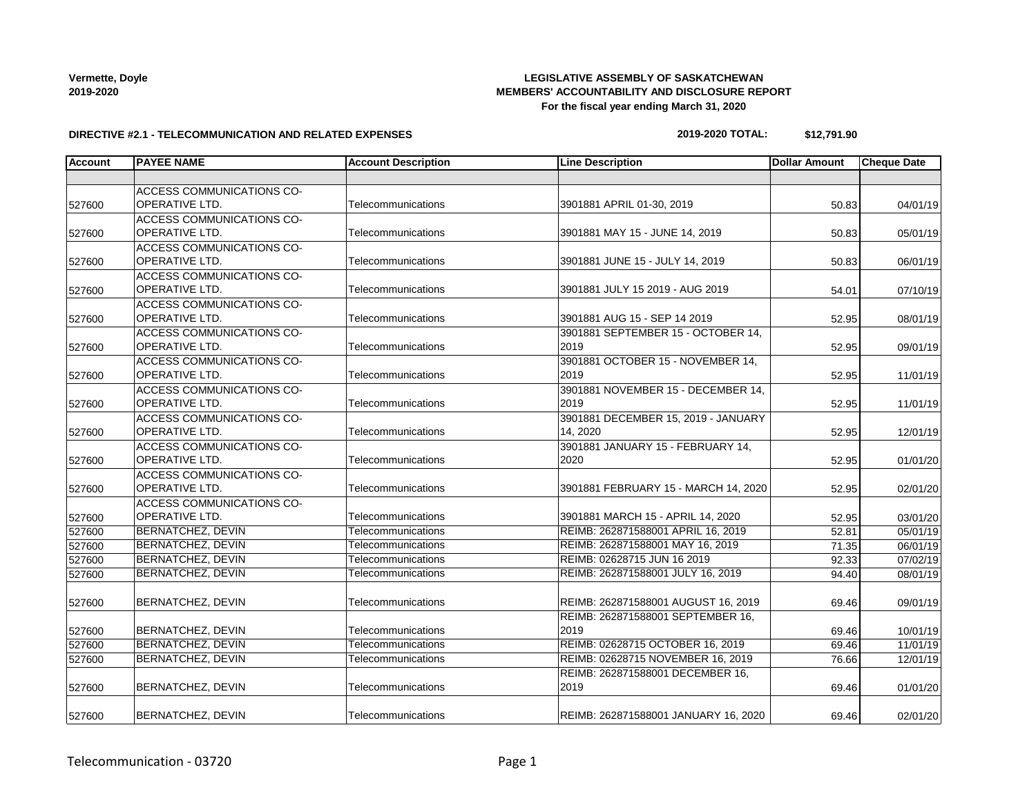# **LEGISLATIVE ASSEMBLY OF SASKATCHEWAN MEMBERS' ACCOUNTABILITY AND DISCLOSURE REPORT For the fiscal year ending March 31, 2020**

#### **DIRECTIVE #2.1 - TELECOMMUNICATION AND RELATED EXPENSES**

#### **2019-2020 TOTAL: \$12,791.90**

| <b>Account</b> | <b>PAYEE NAME</b>                | <b>Account Description</b> | <b>Line Description</b>              | <b>Dollar Amount</b> | <b>Cheque Date</b>    |
|----------------|----------------------------------|----------------------------|--------------------------------------|----------------------|-----------------------|
|                |                                  |                            |                                      |                      |                       |
|                | ACCESS COMMUNICATIONS CO-        |                            |                                      |                      |                       |
| 527600         | <b>OPERATIVE LTD.</b>            | Telecommunications         | 3901881 APRIL 01-30, 2019            | 50.83                | 04/01/19              |
|                | <b>ACCESS COMMUNICATIONS CO-</b> |                            |                                      |                      |                       |
| 527600         | OPERATIVE LTD.                   | Telecommunications         | 3901881 MAY 15 - JUNE 14, 2019       | 50.83                | 05/01/19              |
|                | <b>ACCESS COMMUNICATIONS CO-</b> |                            |                                      |                      |                       |
| 527600         | OPERATIVE LTD.                   | Telecommunications         | 3901881 JUNE 15 - JULY 14, 2019      | 50.83                | 06/01/19              |
|                | <b>ACCESS COMMUNICATIONS CO-</b> |                            |                                      |                      |                       |
| 527600         | OPERATIVE LTD.                   | Telecommunications         | 3901881 JULY 15 2019 - AUG 2019      | 54.01                | 07/10/19              |
|                | ACCESS COMMUNICATIONS CO-        |                            |                                      |                      |                       |
| 527600         | OPERATIVE LTD.                   | Telecommunications         | 3901881 AUG 15 - SEP 14 2019         | 52.95                | 08/01/19              |
|                | ACCESS COMMUNICATIONS CO-        |                            | 3901881 SEPTEMBER 15 - OCTOBER 14,   |                      |                       |
| 527600         | OPERATIVE LTD.                   | Telecommunications         | 2019                                 | 52.95                | 09/01/19              |
|                | ACCESS COMMUNICATIONS CO-        |                            | 3901881 OCTOBER 15 - NOVEMBER 14,    |                      |                       |
| 527600         | OPERATIVE LTD.                   | Telecommunications         | 2019                                 | 52.95                | 11/01/19              |
|                | ACCESS COMMUNICATIONS CO-        |                            | 3901881 NOVEMBER 15 - DECEMBER 14,   |                      |                       |
| 527600         | OPERATIVE LTD.                   | Telecommunications         | 2019                                 | 52.95                | 11/01/19              |
|                | ACCESS COMMUNICATIONS CO-        |                            | 3901881 DECEMBER 15, 2019 - JANUARY  |                      |                       |
| 527600         | <b>OPERATIVE LTD.</b>            | Telecommunications         | 14, 2020                             | 52.95                | 12/01/19              |
|                | ACCESS COMMUNICATIONS CO-        |                            | 3901881 JANUARY 15 - FEBRUARY 14,    |                      |                       |
| 527600         | OPERATIVE LTD.                   | Telecommunications         | 2020                                 | 52.95                | 01/01/20              |
|                | ACCESS COMMUNICATIONS CO-        |                            |                                      |                      |                       |
| 527600         | OPERATIVE LTD.                   | Telecommunications         | 3901881 FEBRUARY 15 - MARCH 14, 2020 | 52.95                | 02/01/20              |
|                | <b>ACCESS COMMUNICATIONS CO-</b> |                            |                                      |                      |                       |
| 527600         | <b>OPERATIVE LTD.</b>            | Telecommunications         | 3901881 MARCH 15 - APRIL 14, 2020    | 52.95                | 03/01/20              |
| 527600         | <b>BERNATCHEZ, DEVIN</b>         | Telecommunications         | REIMB: 262871588001 APRIL 16, 2019   | 52.81                | $\overline{05/01/19}$ |
| 527600         | <b>BERNATCHEZ, DEVIN</b>         | Telecommunications         | REIMB: 262871588001 MAY 16, 2019     | 71.35                | 06/01/19              |
| 527600         | BERNATCHEZ, DEVIN                | Telecommunications         | REIMB: 02628715 JUN 16 2019          | 92.33                | 07/02/19              |
| 527600         | <b>BERNATCHEZ, DEVIN</b>         | Telecommunications         | REIMB: 262871588001 JULY 16, 2019    | 94.40                | 08/01/19              |
|                |                                  |                            |                                      |                      |                       |
| 527600         | BERNATCHEZ, DEVIN                | Telecommunications         | REIMB: 262871588001 AUGUST 16, 2019  | 69.46                | 09/01/19              |
|                |                                  |                            | REIMB: 262871588001 SEPTEMBER 16,    |                      |                       |
| 527600         | <b>BERNATCHEZ, DEVIN</b>         | Telecommunications         | 2019                                 | 69.46                | 10/01/19              |
| 527600         | <b>BERNATCHEZ, DEVIN</b>         | Telecommunications         | REIMB: 02628715 OCTOBER 16, 2019     | 69.46                | 11/01/19              |
| 527600         | BERNATCHEZ, DEVIN                | Telecommunications         | REIMB: 02628715 NOVEMBER 16, 2019    | 76.66                | 12/01/19              |
|                |                                  |                            | REIMB: 262871588001 DECEMBER 16,     |                      |                       |
| 527600         | <b>BERNATCHEZ, DEVIN</b>         | Telecommunications         | 2019                                 | 69.46                | 01/01/20              |
|                |                                  |                            |                                      |                      |                       |
| 527600         | BERNATCHEZ, DEVIN                | Telecommunications         | REIMB: 262871588001 JANUARY 16, 2020 | 69.46                | 02/01/20              |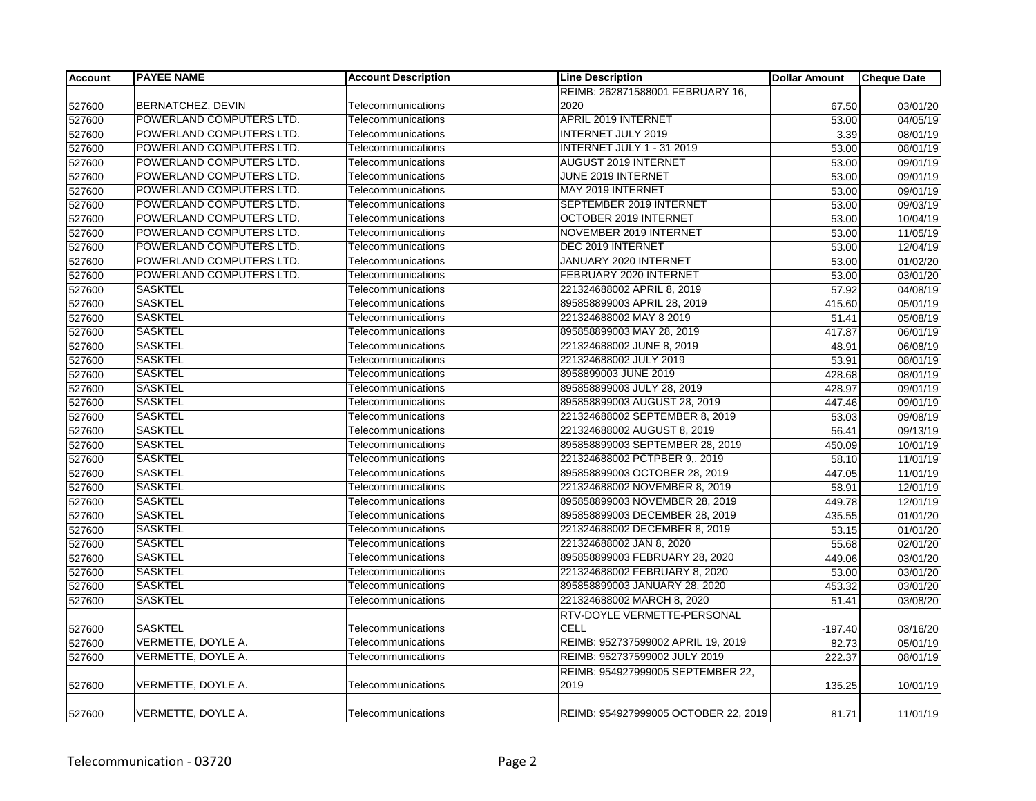| <b>Account</b> | <b>PAYEE NAME</b>        | <b>Account Description</b> | <b>Line Description</b>              | <b>Dollar Amount</b> | <b>Cheque Date</b> |
|----------------|--------------------------|----------------------------|--------------------------------------|----------------------|--------------------|
|                |                          |                            | REIMB: 262871588001 FEBRUARY 16,     |                      |                    |
| 527600         | BERNATCHEZ, DEVIN        | Telecommunications         | 2020                                 | 67.50                | 03/01/20           |
| 527600         | POWERLAND COMPUTERS LTD. | Telecommunications         | APRIL 2019 INTERNET                  | 53.00                | 04/05/19           |
| 527600         | POWERLAND COMPUTERS LTD. | Telecommunications         | <b>INTERNET JULY 2019</b>            | 3.39                 | 08/01/19           |
| 527600         | POWERLAND COMPUTERS LTD. | Telecommunications         | INTERNET JULY 1 - 31 2019            | 53.00                | 08/01/19           |
| 527600         | POWERLAND COMPUTERS LTD. | Telecommunications         | AUGUST 2019 INTERNET                 | 53.00                | 09/01/19           |
| 527600         | POWERLAND COMPUTERS LTD. | Telecommunications         | JUNE 2019 INTERNET                   | 53.00                | 09/01/19           |
| 527600         | POWERLAND COMPUTERS LTD. | Telecommunications         | MAY 2019 INTERNET                    | 53.00                | 09/01/19           |
| 527600         | POWERLAND COMPUTERS LTD. | Telecommunications         | SEPTEMBER 2019 INTERNET              | 53.00                | 09/03/19           |
| 527600         | POWERLAND COMPUTERS LTD. | Telecommunications         | OCTOBER 2019 INTERNET                | 53.00                | 10/04/19           |
| 527600         | POWERLAND COMPUTERS LTD. | Telecommunications         | NOVEMBER 2019 INTERNET               | 53.00                | 11/05/19           |
| 527600         | POWERLAND COMPUTERS LTD. | Telecommunications         | DEC 2019 INTERNET                    | 53.00                | 12/04/19           |
| 527600         | POWERLAND COMPUTERS LTD. | Telecommunications         | JANUARY 2020 INTERNET                | 53.00                | 01/02/20           |
| 527600         | POWERLAND COMPUTERS LTD. | Telecommunications         | FEBRUARY 2020 INTERNET               | 53.00                | 03/01/20           |
| 527600         | <b>SASKTEL</b>           | Telecommunications         | 221324688002 APRIL 8, 2019           | 57.92                | 04/08/19           |
| 527600         | <b>SASKTEL</b>           | Telecommunications         | 895858899003 APRIL 28, 2019          | 415.60               | 05/01/19           |
| 527600         | <b>SASKTEL</b>           | Telecommunications         | 221324688002 MAY 8 2019              | 51.41                | 05/08/19           |
| 527600         | <b>SASKTEL</b>           | Telecommunications         | 895858899003 MAY 28, 2019            | 417.87               | 06/01/19           |
| 527600         | <b>SASKTEL</b>           | Telecommunications         | 221324688002 JUNE 8, 2019            | 48.91                | 06/08/19           |
| 527600         | <b>SASKTEL</b>           | Telecommunications         | 221324688002 JULY 2019               | 53.91                | 08/01/19           |
| 527600         | <b>SASKTEL</b>           | Telecommunications         | 8958899003 JUNE 2019                 | 428.68               | 08/01/19           |
| 527600         | <b>SASKTEL</b>           | Telecommunications         | 895858899003 JULY 28, 2019           | 428.97               | 09/01/19           |
| 527600         | <b>SASKTEL</b>           | Telecommunications         | 895858899003 AUGUST 28, 2019         | 447.46               | 09/01/19           |
| 527600         | <b>SASKTEL</b>           | Telecommunications         | 221324688002 SEPTEMBER 8, 2019       | 53.03                | 09/08/19           |
| 527600         | <b>SASKTEL</b>           | Telecommunications         | 221324688002 AUGUST 8, 2019          | 56.41                | 09/13/19           |
| 527600         | <b>SASKTEL</b>           | Telecommunications         | 895858899003 SEPTEMBER 28, 2019      | 450.09               | 10/01/19           |
| 527600         | <b>SASKTEL</b>           | Telecommunications         | 221324688002 PCTPBER 9,. 2019        | 58.10                | 11/01/19           |
| 527600         | <b>SASKTEL</b>           | Telecommunications         | 895858899003 OCTOBER 28, 2019        | 447.05               | 11/01/19           |
| 527600         | <b>SASKTEL</b>           | Telecommunications         | 221324688002 NOVEMBER 8, 2019        | 58.91                | 12/01/19           |
| 527600         | <b>SASKTEL</b>           | Telecommunications         | 895858899003 NOVEMBER 28, 2019       | 449.78               | 12/01/19           |
| 527600         | <b>SASKTEL</b>           | Telecommunications         | 895858899003 DECEMBER 28, 2019       | 435.55               | 01/01/20           |
| 527600         | <b>SASKTEL</b>           | Telecommunications         | 221324688002 DECEMBER 8, 2019        | 53.15                | 01/01/20           |
| 527600         | <b>SASKTEL</b>           | Telecommunications         | 221324688002 JAN 8, 2020             | 55.68                | 02/01/20           |
| 527600         | <b>SASKTEL</b>           | Telecommunications         | 895858899003 FEBRUARY 28, 2020       | 449.06               | 03/01/20           |
| 527600         | <b>SASKTEL</b>           | Telecommunications         | 221324688002 FEBRUARY 8, 2020        | 53.00                | 03/01/20           |
| 527600         | <b>SASKTEL</b>           | Telecommunications         | 895858899003 JANUARY 28, 2020        | 453.32               | 03/01/20           |
| 527600         | <b>SASKTEL</b>           | Telecommunications         | 221324688002 MARCH 8, 2020           | 51.41                | 03/08/20           |
|                |                          |                            | RTV-DOYLE VERMETTE-PERSONAL          |                      |                    |
| 527600         | <b>SASKTEL</b>           | Telecommunications         | <b>CELL</b>                          | $-197.40$            | 03/16/20           |
| 527600         | VERMETTE, DOYLE A.       | Telecommunications         | REIMB: 952737599002 APRIL 19, 2019   | 82.73                | 05/01/19           |
| 527600         | VERMETTE, DOYLE A.       | Telecommunications         | REIMB: 952737599002 JULY 2019        | 222.37               | 08/01/19           |
|                |                          |                            | REIMB: 954927999005 SEPTEMBER 22,    |                      |                    |
| 527600         | VERMETTE, DOYLE A.       | Telecommunications         | 2019                                 | 135.25               | 10/01/19           |
|                |                          |                            |                                      |                      |                    |
| 527600         | VERMETTE, DOYLE A.       | Telecommunications         | REIMB: 954927999005 OCTOBER 22, 2019 | 81.71                | 11/01/19           |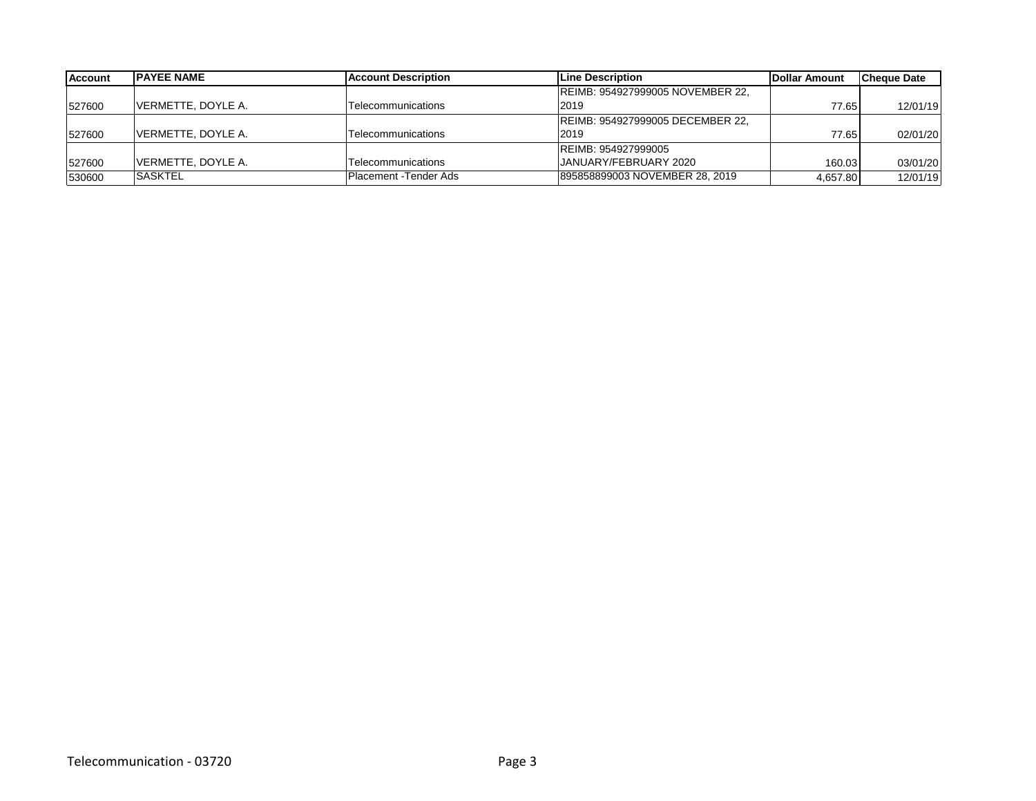| <b>Account</b> | <b>IPAYEE NAME</b>  | <b>IAccount Description</b> | <b>ILine Description</b>         | <b>IDollar Amount</b> | <b>Cheque Date</b> |
|----------------|---------------------|-----------------------------|----------------------------------|-----------------------|--------------------|
|                |                     |                             | REIMB: 954927999005 NOVEMBER 22, |                       |                    |
| 527600         | VERMETTE, DOYLE A.  | Telecommunications          | 2019                             | 77.65                 | 12/01/19           |
|                |                     |                             | REIMB: 954927999005 DECEMBER 22, |                       |                    |
| 527600         | VERMETTE, DOYLE A.  | Telecommunications          | 2019                             | 77.65                 | 02/01/20           |
|                |                     |                             | REIMB: 954927999005              |                       |                    |
| 527600         | IVERMETTE. DOYLE A. | Telecommunications          | JANUARY/FEBRUARY 2020            | 160.03                | 03/01/20           |
| 530600         | <b>ISASKTEL</b>     | Placement - Tender Ads      | 895858899003 NOVEMBER 28, 2019   | 4,657.80              | 12/01/19           |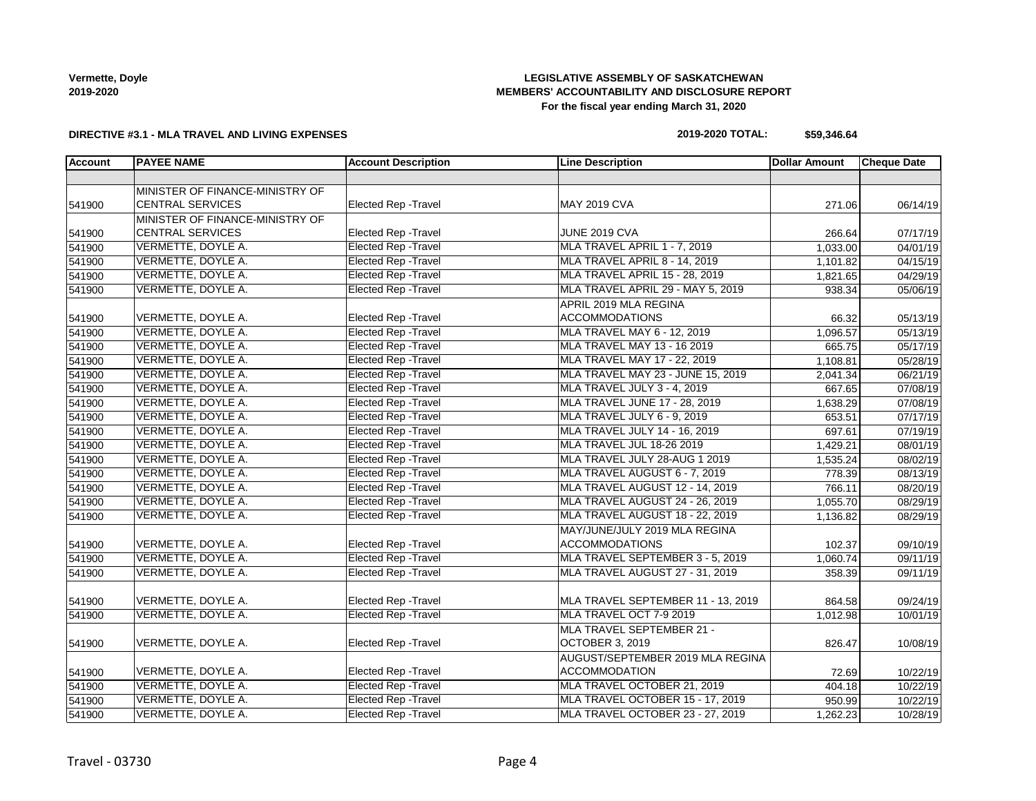# **LEGISLATIVE ASSEMBLY OF SASKATCHEWAN MEMBERS' ACCOUNTABILITY AND DISCLOSURE REPORT For the fiscal year ending March 31, 2020**

#### **DIRECTIVE #3.1 - MLA TRAVEL AND LIVING EXPENSES**

#### **2019-2020 TOTAL: \$59,346.64**

| Account | <b>PAYEE NAME</b>               | <b>Account Description</b>  | <b>Line Description</b>              | <b>Dollar Amount</b> | <b>Cheque Date</b> |
|---------|---------------------------------|-----------------------------|--------------------------------------|----------------------|--------------------|
|         |                                 |                             |                                      |                      |                    |
|         | MINISTER OF FINANCE-MINISTRY OF |                             |                                      |                      |                    |
| 541900  | <b>CENTRAL SERVICES</b>         | Elected Rep - Travel        | <b>MAY 2019 CVA</b>                  | 271.06               | 06/14/19           |
|         | MINISTER OF FINANCE-MINISTRY OF |                             |                                      |                      |                    |
| 541900  | <b>CENTRAL SERVICES</b>         | Elected Rep - Travel        | <b>JUNE 2019 CVA</b>                 | 266.64               | 07/17/19           |
| 541900  | VERMETTE, DOYLE A.              | <b>Elected Rep - Travel</b> | MLA TRAVEL APRIL 1 - 7, 2019         | 1,033.00             | 04/01/19           |
| 541900  | VERMETTE, DOYLE A.              | <b>Elected Rep - Travel</b> | <b>MLA TRAVEL APRIL 8 - 14, 2019</b> | 1,101.82             | 04/15/19           |
| 541900  | VERMETTE, DOYLE A.              | <b>Elected Rep - Travel</b> | MLA TRAVEL APRIL 15 - 28, 2019       | 1,821.65             | 04/29/19           |
| 541900  | VERMETTE, DOYLE A.              | <b>Elected Rep - Travel</b> | MLA TRAVEL APRIL 29 - MAY 5, 2019    | 938.34               | 05/06/19           |
|         |                                 |                             | APRIL 2019 MLA REGINA                |                      |                    |
| 541900  | VERMETTE, DOYLE A.              | Elected Rep - Travel        | <b>ACCOMMODATIONS</b>                | 66.32                | 05/13/19           |
| 541900  | VERMETTE, DOYLE A.              | <b>Elected Rep - Travel</b> | MLA TRAVEL MAY 6 - 12, 2019          | 1,096.57             | 05/13/19           |
| 541900  | VERMETTE, DOYLE A.              | <b>Elected Rep - Travel</b> | MLA TRAVEL MAY 13 - 16 2019          | 665.75               | 05/17/19           |
| 541900  | VERMETTE, DOYLE A.              | <b>Elected Rep - Travel</b> | MLA TRAVEL MAY 17 - 22, 2019         | 1,108.81             | 05/28/19           |
| 541900  | VERMETTE, DOYLE A.              | <b>Elected Rep - Travel</b> | MLA TRAVEL MAY 23 - JUNE 15, 2019    | 2,041.34             | 06/21/19           |
| 541900  | VERMETTE, DOYLE A.              | <b>Elected Rep - Travel</b> | MLA TRAVEL JULY 3 - 4, 2019          | 667.65               | 07/08/19           |
| 541900  | VERMETTE, DOYLE A.              | <b>Elected Rep - Travel</b> | MLA TRAVEL JUNE 17 - 28, 2019        | 1,638.29             | 07/08/19           |
| 541900  | VERMETTE, DOYLE A.              | <b>Elected Rep - Travel</b> | MLA TRAVEL JULY 6 - 9, 2019          | 653.51               | 07/17/19           |
| 541900  | VERMETTE, DOYLE A.              | <b>Elected Rep - Travel</b> | MLA TRAVEL JULY 14 - 16, 2019        | 697.61               | 07/19/19           |
| 541900  | VERMETTE, DOYLE A.              | <b>Elected Rep - Travel</b> | MLA TRAVEL JUL 18-26 2019            | 1,429.21             | 08/01/19           |
| 541900  | VERMETTE, DOYLE A.              | <b>Elected Rep - Travel</b> | MLA TRAVEL JULY 28-AUG 1 2019        | 1,535.24             | 08/02/19           |
| 541900  | VERMETTE, DOYLE A.              | <b>Elected Rep - Travel</b> | MLA TRAVEL AUGUST 6 - 7, 2019        | 778.39               | 08/13/19           |
| 541900  | VERMETTE, DOYLE A.              | <b>Elected Rep - Travel</b> | MLA TRAVEL AUGUST 12 - 14, 2019      | 766.11               | 08/20/19           |
| 541900  | VERMETTE, DOYLE A.              | <b>Elected Rep - Travel</b> | MLA TRAVEL AUGUST 24 - 26, 2019      | 1,055.70             | 08/29/19           |
| 541900  | VERMETTE, DOYLE A.              | <b>Elected Rep - Travel</b> | MLA TRAVEL AUGUST 18 - 22, 2019      | 1,136.82             | 08/29/19           |
|         |                                 |                             | MAY/JUNE/JULY 2019 MLA REGINA        |                      |                    |
| 541900  | VERMETTE, DOYLE A.              | Elected Rep - Travel        | <b>ACCOMMODATIONS</b>                | 102.37               | 09/10/19           |
| 541900  | VERMETTE, DOYLE A.              | <b>Elected Rep - Travel</b> | MLA TRAVEL SEPTEMBER 3 - 5, 2019     | 1,060.74             | 09/11/19           |
| 541900  | VERMETTE, DOYLE A.              | <b>Elected Rep - Travel</b> | MLA TRAVEL AUGUST 27 - 31, 2019      | 358.39               | 09/11/19           |
|         |                                 |                             |                                      |                      |                    |
| 541900  | VERMETTE, DOYLE A.              | <b>Elected Rep - Travel</b> | MLA TRAVEL SEPTEMBER 11 - 13, 2019   | 864.58               | 09/24/19           |
| 541900  | VERMETTE, DOYLE A.              | <b>Elected Rep - Travel</b> | MLA TRAVEL OCT 7-9 2019              | 1,012.98             | 10/01/19           |
|         |                                 |                             | MLA TRAVEL SEPTEMBER 21 -            |                      |                    |
| 541900  | VERMETTE, DOYLE A.              | <b>Elected Rep - Travel</b> | <b>OCTOBER 3, 2019</b>               | 826.47               | 10/08/19           |
|         |                                 |                             | AUGUST/SEPTEMBER 2019 MLA REGINA     |                      |                    |
| 541900  | VERMETTE, DOYLE A.              | Elected Rep - Travel        | <b>ACCOMMODATION</b>                 | 72.69                | 10/22/19           |
| 541900  | VERMETTE, DOYLE A.              | <b>Elected Rep - Travel</b> | MLA TRAVEL OCTOBER 21, 2019          | 404.18               | 10/22/19           |
| 541900  | VERMETTE, DOYLE A.              | <b>Elected Rep - Travel</b> | MLA TRAVEL OCTOBER 15 - 17, 2019     | 950.99               | 10/22/19           |
| 541900  | VERMETTE, DOYLE A.              | <b>Elected Rep - Travel</b> | MLA TRAVEL OCTOBER 23 - 27, 2019     | 1,262.23             | 10/28/19           |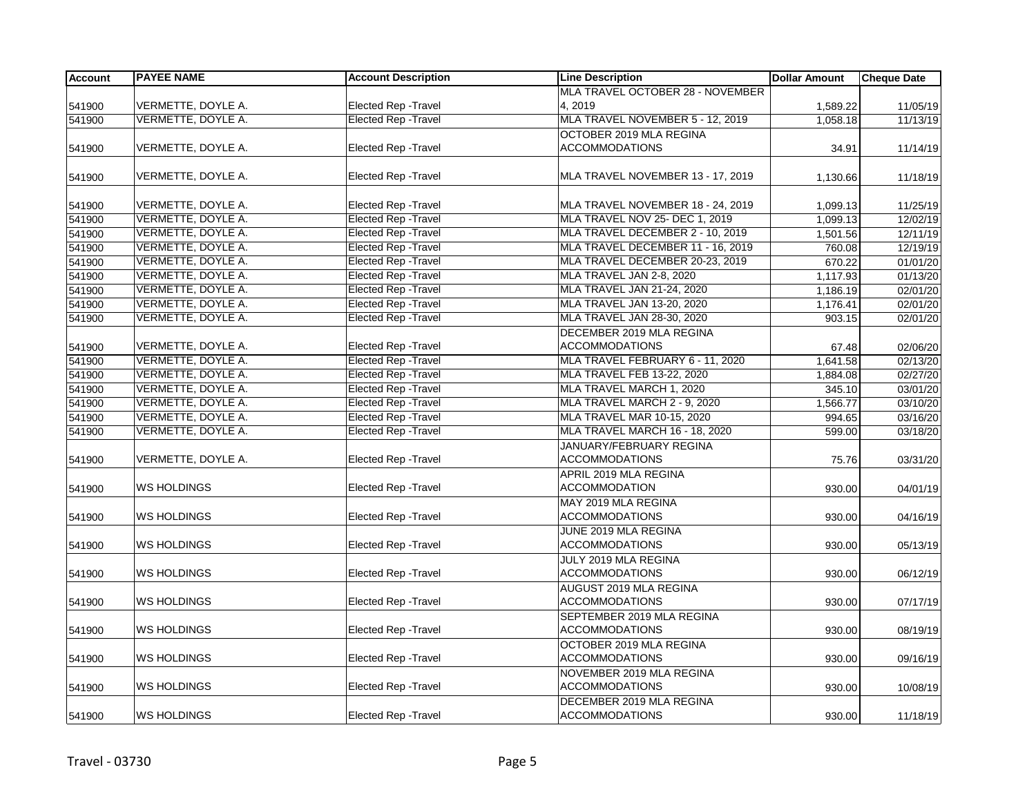| <b>Account</b> | <b>PAYEE NAME</b>  | <b>Account Description</b>  | <b>Line Description</b>           | <b>Dollar Amount</b> | <b>Cheque Date</b> |
|----------------|--------------------|-----------------------------|-----------------------------------|----------------------|--------------------|
|                |                    |                             | MLA TRAVEL OCTOBER 28 - NOVEMBER  |                      |                    |
| 541900         | VERMETTE, DOYLE A. | <b>Elected Rep - Travel</b> | 4, 2019                           | 1,589.22             | 11/05/19           |
| 541900         | VERMETTE, DOYLE A. | <b>Elected Rep - Travel</b> | MLA TRAVEL NOVEMBER 5 - 12, 2019  | 1,058.18             | 11/13/19           |
|                |                    |                             | OCTOBER 2019 MLA REGINA           |                      |                    |
| 541900         | VERMETTE, DOYLE A. | <b>Elected Rep - Travel</b> | <b>ACCOMMODATIONS</b>             | 34.91                | 11/14/19           |
|                |                    |                             |                                   |                      |                    |
| 541900         | VERMETTE, DOYLE A. | Elected Rep - Travel        | MLA TRAVEL NOVEMBER 13 - 17, 2019 | 1,130.66             | 11/18/19           |
|                |                    |                             |                                   |                      |                    |
| 541900         | VERMETTE, DOYLE A. | <b>Elected Rep - Travel</b> | MLA TRAVEL NOVEMBER 18 - 24, 2019 | 1,099.13             | 11/25/19           |
| 541900         | VERMETTE, DOYLE A. | <b>Elected Rep - Travel</b> | MLA TRAVEL NOV 25- DEC 1, 2019    | 1,099.13             | 12/02/19           |
| 541900         | VERMETTE, DOYLE A. | <b>Elected Rep - Travel</b> | MLA TRAVEL DECEMBER 2 - 10, 2019  | 1,501.56             | 12/11/19           |
| 541900         | VERMETTE, DOYLE A. | <b>Elected Rep - Travel</b> | MLA TRAVEL DECEMBER 11 - 16, 2019 | 760.08               | 12/19/19           |
| 541900         | VERMETTE, DOYLE A. | Elected Rep - Travel        | MLA TRAVEL DECEMBER 20-23, 2019   | 670.22               | 01/01/20           |
| 541900         | VERMETTE, DOYLE A. | <b>Elected Rep - Travel</b> | MLA TRAVEL JAN 2-8, 2020          | 1,117.93             | 01/13/20           |
| 541900         | VERMETTE, DOYLE A. | <b>Elected Rep - Travel</b> | MLA TRAVEL JAN 21-24, 2020        | 1,186.19             | 02/01/20           |
| 541900         | VERMETTE, DOYLE A. | <b>Elected Rep - Travel</b> | MLA TRAVEL JAN 13-20, 2020        | 1,176.41             | 02/01/20           |
| 541900         | VERMETTE, DOYLE A. | <b>Elected Rep - Travel</b> | MLA TRAVEL JAN 28-30, 2020        | 903.15               | 02/01/20           |
|                |                    |                             | DECEMBER 2019 MLA REGINA          |                      |                    |
| 541900         | VERMETTE, DOYLE A. | Elected Rep - Travel        | <b>ACCOMMODATIONS</b>             | 67.48                | 02/06/20           |
| 541900         | VERMETTE, DOYLE A. | <b>Elected Rep - Travel</b> | MLA TRAVEL FEBRUARY 6 - 11, 2020  | 1,641.58             | 02/13/20           |
| 541900         | VERMETTE, DOYLE A. | <b>Elected Rep - Travel</b> | MLA TRAVEL FEB 13-22, 2020        | 1,884.08             | 02/27/20           |
| 541900         | VERMETTE, DOYLE A. | Elected Rep - Travel        | MLA TRAVEL MARCH 1, 2020          | 345.10               | 03/01/20           |
| 541900         | VERMETTE, DOYLE A. | <b>Elected Rep - Travel</b> | MLA TRAVEL MARCH 2 - 9, 2020      | 1,566.77             | 03/10/20           |
| 541900         | VERMETTE, DOYLE A. | <b>Elected Rep - Travel</b> | MLA TRAVEL MAR 10-15, 2020        | 994.65               | 03/16/20           |
| 541900         | VERMETTE, DOYLE A. | <b>Elected Rep - Travel</b> | MLA TRAVEL MARCH 16 - 18, 2020    | 599.00               | 03/18/20           |
|                |                    |                             | JANUARY/FEBRUARY REGINA           |                      |                    |
| 541900         | VERMETTE, DOYLE A. | <b>Elected Rep - Travel</b> | <b>ACCOMMODATIONS</b>             | 75.76                | 03/31/20           |
|                |                    |                             | APRIL 2019 MLA REGINA             |                      |                    |
| 541900         | WS HOLDINGS        | <b>Elected Rep - Travel</b> | <b>ACCOMMODATION</b>              | 930.00               | 04/01/19           |
|                |                    |                             | MAY 2019 MLA REGINA               |                      |                    |
| 541900         | <b>WS HOLDINGS</b> | <b>Elected Rep - Travel</b> | <b>ACCOMMODATIONS</b>             | 930.00               | 04/16/19           |
|                |                    |                             | JUNE 2019 MLA REGINA              |                      |                    |
| 541900         | <b>WS HOLDINGS</b> | <b>Elected Rep - Travel</b> | <b>ACCOMMODATIONS</b>             | 930.00               | 05/13/19           |
|                |                    |                             | JULY 2019 MLA REGINA              |                      |                    |
| 541900         | <b>WS HOLDINGS</b> | <b>Elected Rep - Travel</b> | <b>ACCOMMODATIONS</b>             | 930.00               | 06/12/19           |
|                |                    |                             | AUGUST 2019 MLA REGINA            |                      |                    |
| 541900         | <b>WS HOLDINGS</b> | Elected Rep - Travel        | <b>ACCOMMODATIONS</b>             | 930.00               | 07/17/19           |
|                |                    |                             | SEPTEMBER 2019 MLA REGINA         |                      |                    |
| 541900         | WS HOLDINGS        | <b>Elected Rep - Travel</b> | <b>ACCOMMODATIONS</b>             | 930.00               | 08/19/19           |
|                |                    |                             | OCTOBER 2019 MLA REGINA           |                      |                    |
| 541900         | <b>WS HOLDINGS</b> | Elected Rep - Travel        | <b>ACCOMMODATIONS</b>             | 930.00               | 09/16/19           |
|                |                    |                             | NOVEMBER 2019 MLA REGINA          |                      |                    |
| 541900         | <b>WS HOLDINGS</b> | <b>Elected Rep - Travel</b> | <b>ACCOMMODATIONS</b>             | 930.00               | 10/08/19           |
|                |                    |                             | DECEMBER 2019 MLA REGINA          |                      |                    |
| 541900         | <b>WS HOLDINGS</b> | <b>Elected Rep - Travel</b> | <b>ACCOMMODATIONS</b>             | 930.00               | 11/18/19           |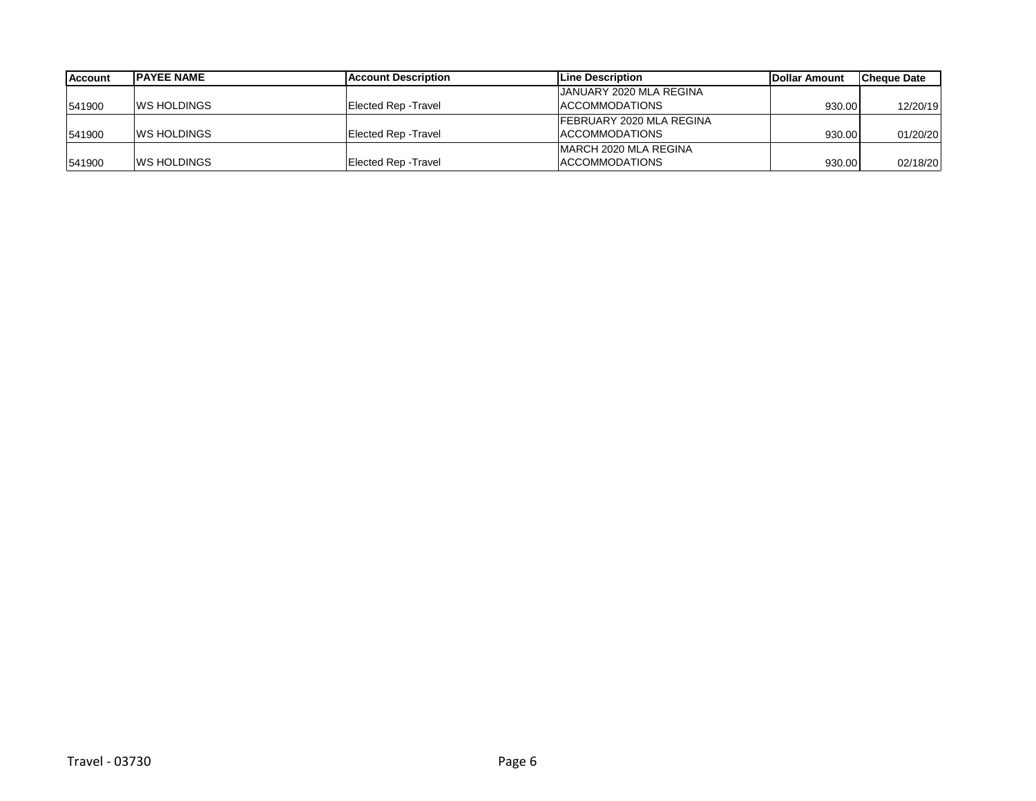| <b>Account</b> | <b>IPAYEE NAME</b>  | Account Description  | Line Description               | <b>Dollar Amount</b> | <b>Cheque Date</b> |
|----------------|---------------------|----------------------|--------------------------------|----------------------|--------------------|
|                |                     |                      | <b>JANUARY 2020 MLA REGINA</b> |                      |                    |
| 541900         | <b>IWS HOLDINGS</b> | Elected Rep - Travel | <b>ACCOMMODATIONS</b>          | 930.00               | 12/20/19           |
|                |                     |                      | FEBRUARY 2020 MLA REGINA       |                      |                    |
| 541900         | <b>IWS HOLDINGS</b> | Elected Rep - Travel | <b>ACCOMMODATIONS</b>          | 930.00               | 01/20/20           |
|                |                     |                      | <b>IMARCH 2020 MLA REGINA</b>  |                      |                    |
| 541900         | <b>IWS HOLDINGS</b> | Elected Rep - Travel | <b>ACCOMMODATIONS</b>          | 930.00               | 02/18/20           |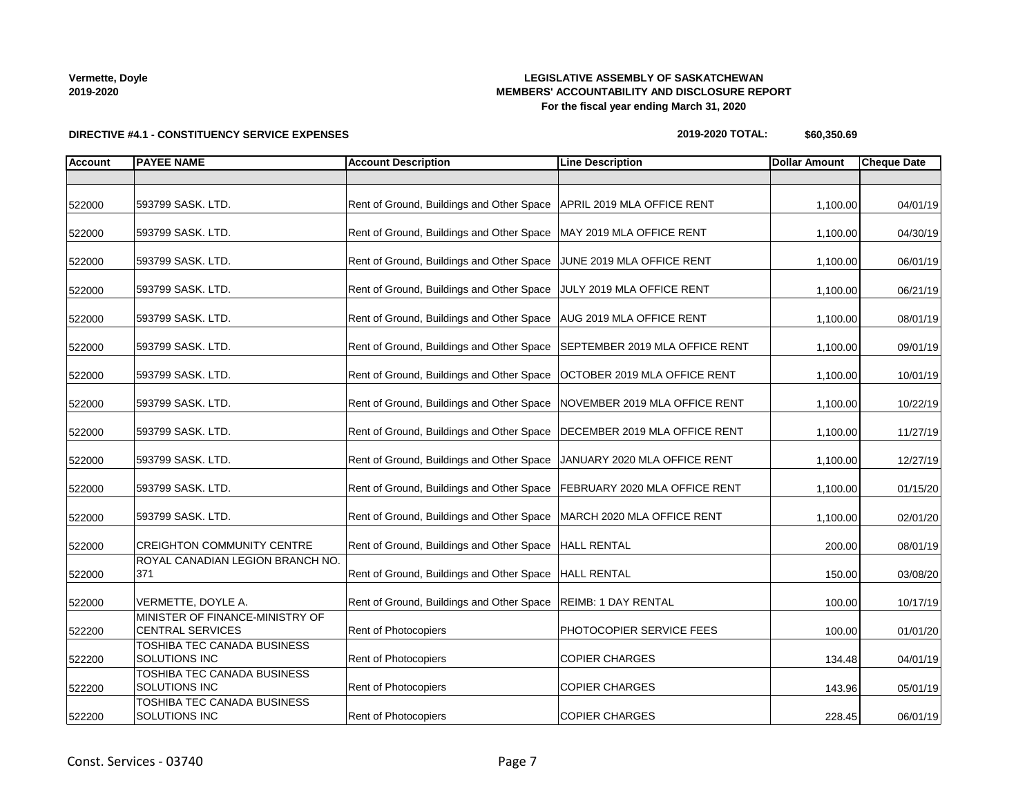# **LEGISLATIVE ASSEMBLY OF SASKATCHEWAN MEMBERS' ACCOUNTABILITY AND DISCLOSURE REPORT For the fiscal year ending March 31, 2020**

**DIRECTIVE #4.1 - CONSTITUENCY SERVICE EXPENSES**

#### **2019-2020 TOTAL: \$60,350.69**

| <b>Account</b> | <b>PAYEE NAME</b>                                          | <b>Account Description</b>                                                 | <b>Line Description</b>         | <b>Dollar Amount</b> | <b>Cheque Date</b> |
|----------------|------------------------------------------------------------|----------------------------------------------------------------------------|---------------------------------|----------------------|--------------------|
|                |                                                            |                                                                            |                                 |                      |                    |
| 522000         | 593799 SASK. LTD.                                          | Rent of Ground, Buildings and Other Space   APRIL 2019 MLA OFFICE RENT     |                                 | 1,100.00             | 04/01/19           |
| 522000         | 593799 SASK. LTD.                                          | Rent of Ground, Buildings and Other Space   MAY 2019 MLA OFFICE RENT       |                                 | 1,100.00             | 04/30/19           |
| 522000         | 593799 SASK. LTD.                                          | Rent of Ground, Buildings and Other Space JUNE 2019 MLA OFFICE RENT        |                                 | 1,100.00             | 06/01/19           |
| 522000         | 593799 SASK. LTD.                                          | Rent of Ground, Buildings and Other Space JULY 2019 MLA OFFICE RENT        |                                 | 1,100.00             | 06/21/19           |
| 522000         | 593799 SASK. LTD.                                          | Rent of Ground, Buildings and Other Space   AUG 2019 MLA OFFICE RENT       |                                 | 1,100.00             | 08/01/19           |
| 522000         | 593799 SASK. LTD.                                          | Rent of Ground, Buildings and Other Space   SEPTEMBER 2019 MLA OFFICE RENT |                                 | 1,100.00             | 09/01/19           |
| 522000         | 593799 SASK. LTD.                                          | Rent of Ground, Buildings and Other Space   OCTOBER 2019 MLA OFFICE RENT   |                                 | 1,100.00             | 10/01/19           |
| 522000         | 593799 SASK. LTD.                                          | Rent of Ground, Buildings and Other Space NOVEMBER 2019 MLA OFFICE RENT    |                                 | 1,100.00             | 10/22/19           |
| 522000         | 593799 SASK. LTD.                                          | Rent of Ground, Buildings and Other Space   DECEMBER 2019 MLA OFFICE RENT  |                                 | 1,100.00             | 11/27/19           |
| 522000         | 593799 SASK. LTD.                                          | Rent of Ground, Buildings and Other Space   JANUARY 2020 MLA OFFICE RENT   |                                 | 1,100.00             | 12/27/19           |
| 522000         | 593799 SASK. LTD.                                          | Rent of Ground, Buildings and Other Space   FEBRUARY 2020 MLA OFFICE RENT  |                                 | 1,100.00             | 01/15/20           |
| 522000         | 593799 SASK. LTD.                                          | Rent of Ground, Buildings and Other Space   MARCH 2020 MLA OFFICE RENT     |                                 | 1,100.00             | 02/01/20           |
| 522000         | <b>CREIGHTON COMMUNITY CENTRE</b>                          | Rent of Ground, Buildings and Other Space   HALL RENTAL                    |                                 | 200.00               | 08/01/19           |
| 522000         | ROYAL CANADIAN LEGION BRANCH NO.<br>371                    | Rent of Ground, Buildings and Other Space  HALL RENTAL                     |                                 | 150.00               | 03/08/20           |
| 522000         | VERMETTE, DOYLE A.                                         | Rent of Ground, Buildings and Other Space   REIMB: 1 DAY RENTAL            |                                 | 100.00               | 10/17/19           |
| 522200         | MINISTER OF FINANCE-MINISTRY OF<br><b>CENTRAL SERVICES</b> | <b>Rent of Photocopiers</b>                                                | <b>PHOTOCOPIER SERVICE FEES</b> | 100.00               | 01/01/20           |
| 522200         | TOSHIBA TEC CANADA BUSINESS<br>SOLUTIONS INC               | Rent of Photocopiers                                                       | <b>COPIER CHARGES</b>           | 134.48               | 04/01/19           |
| 522200         | TOSHIBA TEC CANADA BUSINESS<br><b>SOLUTIONS INC</b>        | Rent of Photocopiers                                                       | <b>COPIER CHARGES</b>           | 143.96               | 05/01/19           |
| 522200         | TOSHIBA TEC CANADA BUSINESS<br>SOLUTIONS INC               | Rent of Photocopiers                                                       | <b>COPIER CHARGES</b>           | 228.45               | 06/01/19           |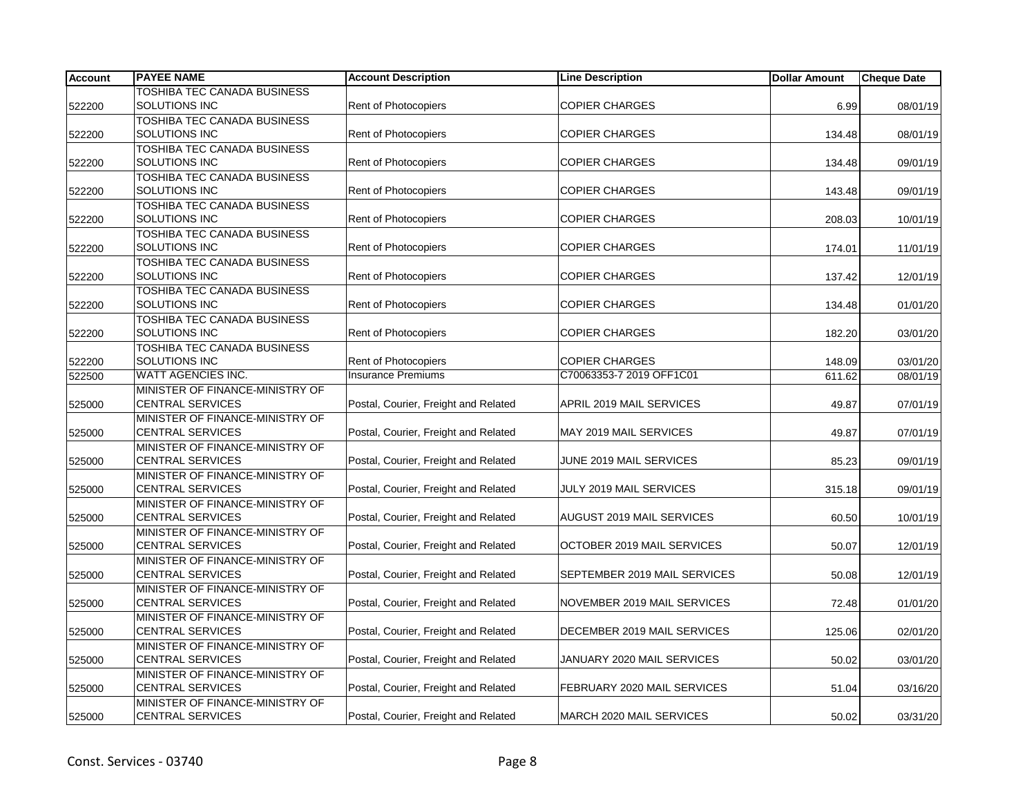| <b>Account</b> | <b>PAYEE NAME</b>                                          | <b>Account Description</b>           | <b>Line Description</b>      | <b>Dollar Amount</b> | <b>Cheque Date</b> |
|----------------|------------------------------------------------------------|--------------------------------------|------------------------------|----------------------|--------------------|
|                | TOSHIBA TEC CANADA BUSINESS                                |                                      |                              |                      |                    |
| 522200         | <b>SOLUTIONS INC</b>                                       | <b>Rent of Photocopiers</b>          | <b>COPIER CHARGES</b>        | 6.99                 | 08/01/19           |
|                | <b>TOSHIBA TEC CANADA BUSINESS</b>                         |                                      |                              |                      |                    |
| 522200         | SOLUTIONS INC                                              | <b>Rent of Photocopiers</b>          | <b>COPIER CHARGES</b>        | 134.48               | 08/01/19           |
|                | <b>TOSHIBA TEC CANADA BUSINESS</b>                         |                                      |                              |                      |                    |
| 522200         | SOLUTIONS INC                                              | <b>Rent of Photocopiers</b>          | <b>COPIER CHARGES</b>        | 134.48               | 09/01/19           |
|                | TOSHIBA TEC CANADA BUSINESS<br>SOLUTIONS INC               | <b>Rent of Photocopiers</b>          | <b>COPIER CHARGES</b>        |                      |                    |
| 522200         | TOSHIBA TEC CANADA BUSINESS                                |                                      |                              | 143.48               | 09/01/19           |
| 522200         | SOLUTIONS INC                                              | <b>Rent of Photocopiers</b>          | <b>COPIER CHARGES</b>        | 208.03               | 10/01/19           |
|                | TOSHIBA TEC CANADA BUSINESS                                |                                      |                              |                      |                    |
| 522200         | SOLUTIONS INC                                              | <b>Rent of Photocopiers</b>          | <b>COPIER CHARGES</b>        | 174.01               | 11/01/19           |
|                | TOSHIBA TEC CANADA BUSINESS                                |                                      |                              |                      |                    |
| 522200         | SOLUTIONS INC                                              | <b>Rent of Photocopiers</b>          | <b>COPIER CHARGES</b>        | 137.42               | 12/01/19           |
|                | TOSHIBA TEC CANADA BUSINESS                                |                                      |                              |                      |                    |
| 522200         | SOLUTIONS INC                                              | <b>Rent of Photocopiers</b>          | <b>COPIER CHARGES</b>        | 134.48               | 01/01/20           |
|                | TOSHIBA TEC CANADA BUSINESS                                |                                      |                              |                      |                    |
| 522200         | SOLUTIONS INC                                              | <b>Rent of Photocopiers</b>          | <b>COPIER CHARGES</b>        | 182.20               | 03/01/20           |
|                | TOSHIBA TEC CANADA BUSINESS                                |                                      |                              |                      |                    |
| 522200         | SOLUTIONS INC                                              | <b>Rent of Photocopiers</b>          | <b>COPIER CHARGES</b>        | 148.09               | 03/01/20           |
| 522500         | WATT AGENCIES INC.                                         | <b>Insurance Premiums</b>            | C70063353-7 2019 OFF1C01     | 611.62               | 08/01/19           |
|                | MINISTER OF FINANCE-MINISTRY OF                            |                                      |                              |                      |                    |
| 525000         | <b>CENTRAL SERVICES</b>                                    | Postal, Courier, Freight and Related | APRIL 2019 MAIL SERVICES     | 49.87                | 07/01/19           |
|                | MINISTER OF FINANCE-MINISTRY OF                            |                                      |                              |                      |                    |
| 525000         | <b>CENTRAL SERVICES</b>                                    | Postal, Courier, Freight and Related | MAY 2019 MAIL SERVICES       | 49.87                | 07/01/19           |
|                | MINISTER OF FINANCE-MINISTRY OF                            |                                      |                              |                      |                    |
| 525000         | <b>CENTRAL SERVICES</b><br>MINISTER OF FINANCE-MINISTRY OF | Postal, Courier, Freight and Related | JUNE 2019 MAIL SERVICES      | 85.23                | 09/01/19           |
| 525000         | <b>CENTRAL SERVICES</b>                                    | Postal, Courier, Freight and Related | JULY 2019 MAIL SERVICES      | 315.18               | 09/01/19           |
|                | MINISTER OF FINANCE-MINISTRY OF                            |                                      |                              |                      |                    |
| 525000         | <b>CENTRAL SERVICES</b>                                    | Postal, Courier, Freight and Related | AUGUST 2019 MAIL SERVICES    | 60.50                | 10/01/19           |
|                | MINISTER OF FINANCE-MINISTRY OF                            |                                      |                              |                      |                    |
| 525000         | <b>CENTRAL SERVICES</b>                                    | Postal, Courier, Freight and Related | OCTOBER 2019 MAIL SERVICES   | 50.07                | 12/01/19           |
|                | MINISTER OF FINANCE-MINISTRY OF                            |                                      |                              |                      |                    |
| 525000         | <b>CENTRAL SERVICES</b>                                    | Postal, Courier, Freight and Related | SEPTEMBER 2019 MAIL SERVICES | 50.08                | 12/01/19           |
|                | MINISTER OF FINANCE-MINISTRY OF                            |                                      |                              |                      |                    |
| 525000         | <b>CENTRAL SERVICES</b>                                    | Postal, Courier, Freight and Related | NOVEMBER 2019 MAIL SERVICES  | 72.48                | 01/01/20           |
|                | MINISTER OF FINANCE-MINISTRY OF                            |                                      |                              |                      |                    |
| 525000         | <b>CENTRAL SERVICES</b>                                    | Postal, Courier, Freight and Related | DECEMBER 2019 MAIL SERVICES  | 125.06               | 02/01/20           |
|                | MINISTER OF FINANCE-MINISTRY OF                            |                                      |                              |                      |                    |
| 525000         | <b>CENTRAL SERVICES</b>                                    | Postal, Courier, Freight and Related | JANUARY 2020 MAIL SERVICES   | 50.02                | 03/01/20           |
|                | MINISTER OF FINANCE-MINISTRY OF                            |                                      |                              |                      |                    |
| 525000         | <b>CENTRAL SERVICES</b>                                    | Postal, Courier, Freight and Related | FEBRUARY 2020 MAIL SERVICES  | 51.04                | 03/16/20           |
|                | MINISTER OF FINANCE-MINISTRY OF                            |                                      |                              |                      |                    |
| 525000         | <b>CENTRAL SERVICES</b>                                    | Postal, Courier, Freight and Related | MARCH 2020 MAIL SERVICES     | 50.02                | 03/31/20           |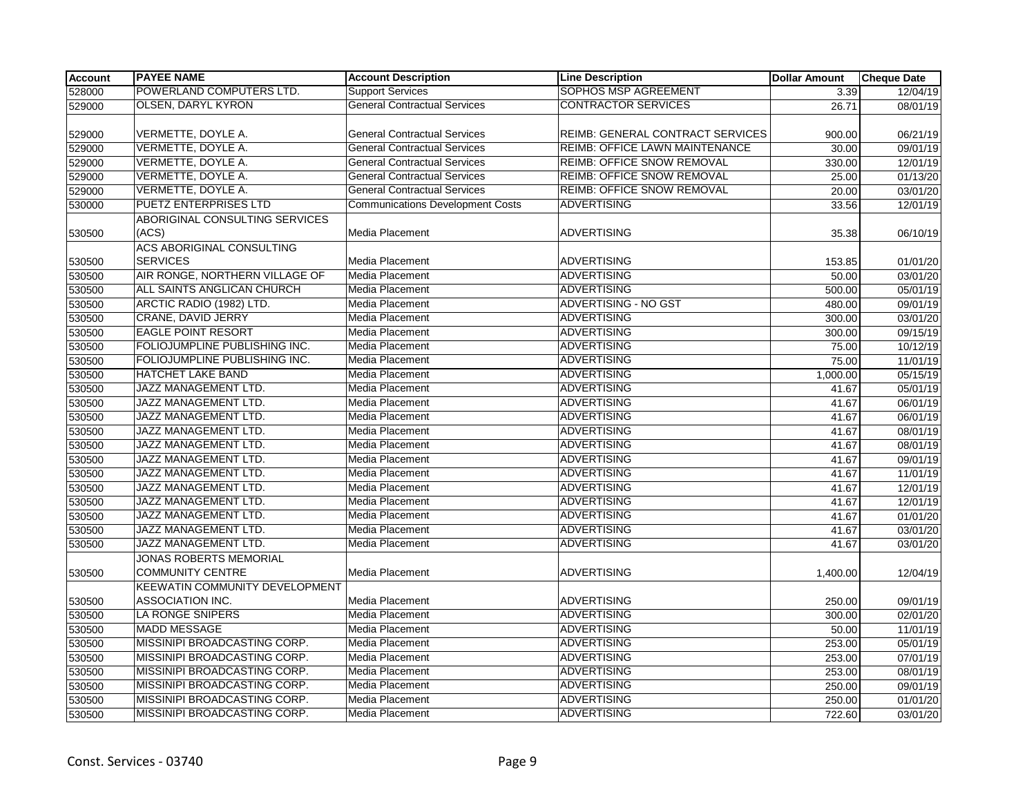| <b>Account</b> | <b>PAYEE NAME</b>                                   | <b>Account Description</b>              | <b>Line Description</b>           | <b>Dollar Amount</b> | <b>Cheque Date</b>    |
|----------------|-----------------------------------------------------|-----------------------------------------|-----------------------------------|----------------------|-----------------------|
| 528000         | POWERLAND COMPUTERS LTD.                            | <b>Support Services</b>                 | <b>SOPHOS MSP AGREEMENT</b>       | 3.39                 | 12/04/19              |
| 529000         | <b>OLSEN, DARYL KYRON</b>                           | <b>General Contractual Services</b>     | <b>CONTRACTOR SERVICES</b>        | 26.71                | 08/01/19              |
|                |                                                     |                                         |                                   |                      |                       |
| 529000         | VERMETTE, DOYLE A.                                  | <b>General Contractual Services</b>     | REIMB: GENERAL CONTRACT SERVICES  | 900.00               | 06/21/19              |
| 529000         | VERMETTE, DOYLE A.                                  | <b>General Contractual Services</b>     | REIMB: OFFICE LAWN MAINTENANCE    | 30.00                | 09/01/19              |
| 529000         | VERMETTE, DOYLE A.                                  | <b>General Contractual Services</b>     | <b>REIMB: OFFICE SNOW REMOVAL</b> | 330.00               | 12/01/19              |
| 529000         | VERMETTE, DOYLE A.                                  | <b>General Contractual Services</b>     | <b>REIMB: OFFICE SNOW REMOVAL</b> | 25.00                | 01/13/20              |
| 529000         | VERMETTE, DOYLE A.                                  | <b>General Contractual Services</b>     | <b>REIMB: OFFICE SNOW REMOVAL</b> | 20.00                | 03/01/20              |
| 530000         | <b>PUETZ ENTERPRISES LTD</b>                        | <b>Communications Development Costs</b> | <b>ADVERTISING</b>                | 33.56                | 12/01/19              |
|                | ABORIGINAL CONSULTING SERVICES<br>(ACS)             |                                         | <b>ADVERTISING</b>                |                      |                       |
| 530500         |                                                     | Media Placement                         |                                   | 35.38                | 06/10/19              |
| 530500         | <b>ACS ABORIGINAL CONSULTING</b><br><b>SERVICES</b> | Media Placement                         | <b>ADVERTISING</b>                | 153.85               | 01/01/20              |
| 530500         | AIR RONGE, NORTHERN VILLAGE OF                      | <b>Media Placement</b>                  | <b>ADVERTISING</b>                | 50.00                | 03/01/20              |
| 530500         | ALL SAINTS ANGLICAN CHURCH                          | Media Placement                         | <b>ADVERTISING</b>                | 500.00               | 05/01/19              |
| 530500         | ARCTIC RADIO (1982) LTD.                            | <b>Media Placement</b>                  | ADVERTISING - NO GST              | 480.00               | 09/01/19              |
| 530500         | <b>CRANE, DAVID JERRY</b>                           | Media Placement                         | ADVERTISING                       | 300.00               | 03/01/20              |
| 530500         | <b>EAGLE POINT RESORT</b>                           | <b>Media Placement</b>                  | ADVERTISING                       | 300.00               | 09/15/19              |
| 530500         | FOLIOJUMPLINE PUBLISHING INC.                       | Media Placement                         | <b>ADVERTISING</b>                | 75.00                | 10/12/19              |
| 530500         | FOLIOJUMPLINE PUBLISHING INC.                       | <b>Media Placement</b>                  | <b>ADVERTISING</b>                | 75.00                | 11/01/19              |
| 530500         | HATCHET LAKE BAND                                   | Media Placement                         | <b>ADVERTISING</b>                | 1,000.00             | 05/15/19              |
| 530500         | JAZZ MANAGEMENT LTD.                                | Media Placement                         | <b>ADVERTISING</b>                | 41.67                | 05/01/19              |
| 530500         | JAZZ MANAGEMENT LTD.                                | <b>Media Placement</b>                  | <b>ADVERTISING</b>                | 41.67                | 06/01/19              |
| 530500         | JAZZ MANAGEMENT LTD.                                | <b>Media Placement</b>                  | <b>ADVERTISING</b>                | 41.67                | 06/01/19              |
| 530500         | JAZZ MANAGEMENT LTD.                                | Media Placement                         | <b>ADVERTISING</b>                | 41.67                | 08/01/19              |
| 530500         | JAZZ MANAGEMENT LTD.                                | <b>Media Placement</b>                  | ADVERTISING                       | 41.67                | 08/01/19              |
| 530500         | <b>JAZZ MANAGEMENT LTD.</b>                         | Media Placement                         | <b>ADVERTISING</b>                | 41.67                | 09/01/19              |
| 530500         | JAZZ MANAGEMENT LTD.                                | <b>Media Placement</b>                  | <b>ADVERTISING</b>                | 41.67                | 11/01/19              |
| 530500         | JAZZ MANAGEMENT LTD.                                | Media Placement                         | <b>ADVERTISING</b>                | 41.67                | 12/01/19              |
| 530500         | JAZZ MANAGEMENT LTD.                                | <b>Media Placement</b>                  | ADVERTISING                       | 41.67                | 12/01/19              |
| 530500         | JAZZ MANAGEMENT LTD.                                | Media Placement                         | <b>ADVERTISING</b>                | 41.67                | 01/01/20              |
| 530500         | JAZZ MANAGEMENT LTD.                                | <b>Media Placement</b>                  | <b>ADVERTISING</b>                | 41.67                | 03/01/20              |
| 530500         | JAZZ MANAGEMENT LTD.                                | Media Placement                         | <b>ADVERTISING</b>                | 41.67                | 03/01/20              |
| 530500         | JONAS ROBERTS MEMORIAL<br><b>COMMUNITY CENTRE</b>   | Media Placement                         | <b>ADVERTISING</b>                | 1,400.00             | 12/04/19              |
| 530500         | KEEWATIN COMMUNITY DEVELOPMENT<br>ASSOCIATION INC.  | <b>Media Placement</b>                  | <b>ADVERTISING</b>                | 250.00               | 09/01/19              |
| 530500         | <b>LA RONGE SNIPERS</b>                             | <b>Media Placement</b>                  | ADVERTISING                       | 300.00               | 02/01/20              |
| 530500         | <b>MADD MESSAGE</b>                                 | Media Placement                         | <b>ADVERTISING</b>                | 50.00                | 11/01/19              |
| 530500         | MISSINIPI BROADCASTING CORP.                        | <b>Media Placement</b>                  | <b>ADVERTISING</b>                | 253.00               | $\overline{05/01/19}$ |
| 530500         | MISSINIPI BROADCASTING CORP.                        | <b>Media Placement</b>                  | <b>ADVERTISING</b>                | 253.00               | 07/01/19              |
| 530500         | MISSINIPI BROADCASTING CORP.                        | Media Placement                         | <b>ADVERTISING</b>                | 253.00               | 08/01/19              |
| 530500         | MISSINIPI BROADCASTING CORP.                        | <b>Media Placement</b>                  | <b>ADVERTISING</b>                | 250.00               | 09/01/19              |
| 530500         | MISSINIPI BROADCASTING CORP.                        | Media Placement                         | <b>ADVERTISING</b>                | 250.00               | 01/01/20              |
| 530500         | MISSINIPI BROADCASTING CORP.                        | <b>Media Placement</b>                  | <b>ADVERTISING</b>                | 722.60               | 03/01/20              |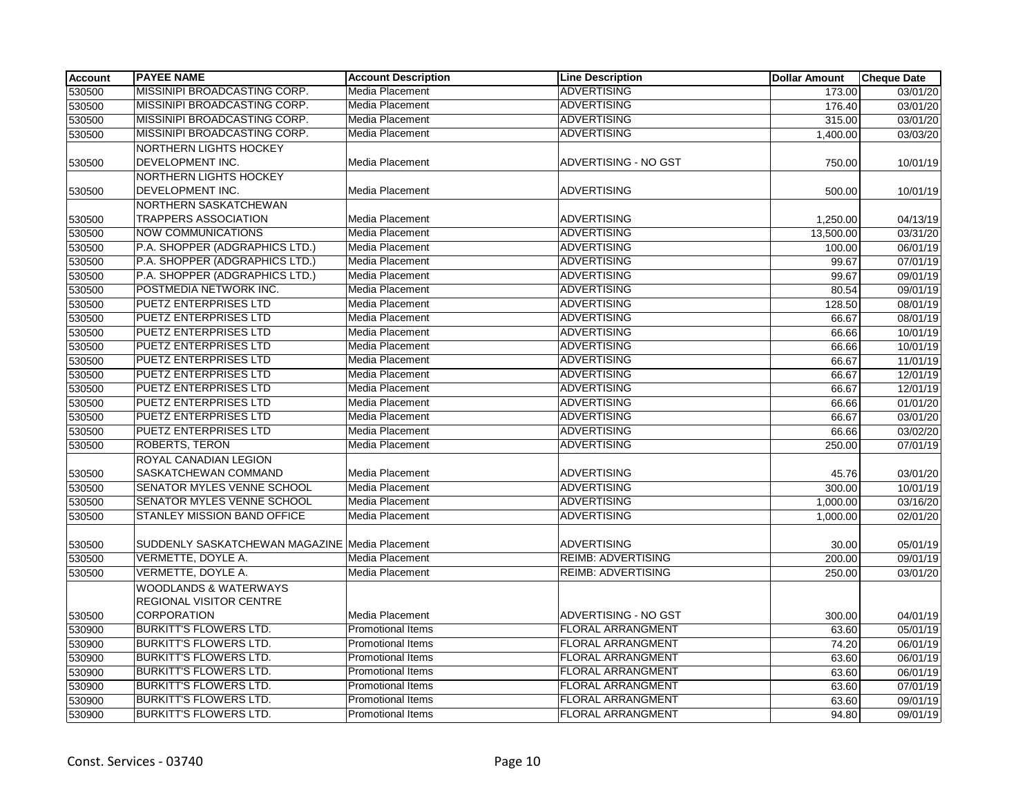| <b>Account</b>   | <b>PAYEE NAME</b>                                                  | <b>Account Description</b> | <b>Line Description</b>   | <b>Dollar Amount</b> | <b>Cheque Date</b> |
|------------------|--------------------------------------------------------------------|----------------------------|---------------------------|----------------------|--------------------|
| 530500           | MISSINIPI BROADCASTING CORP.                                       | Media Placement            | <b>ADVERTISING</b>        | 173.00               | 03/01/20           |
| 530500           | MISSINIPI BROADCASTING CORP.                                       | Media Placement            | <b>ADVERTISING</b>        | 176.40               | 03/01/20           |
| 530500           | MISSINIPI BROADCASTING CORP.                                       | Media Placement            | <b>ADVERTISING</b>        | 315.00               | 03/01/20           |
| 530500           | MISSINIPI BROADCASTING CORP.                                       | Media Placement            | <b>ADVERTISING</b>        | 1,400.00             | 03/03/20           |
|                  | <b>NORTHERN LIGHTS HOCKEY</b>                                      |                            |                           |                      |                    |
| 530500           | DEVELOPMENT INC.                                                   | Media Placement            | ADVERTISING - NO GST      | 750.00               | 10/01/19           |
| 530500           | <b>NORTHERN LIGHTS HOCKEY</b><br>DEVELOPMENT INC.                  | Media Placement            | <b>ADVERTISING</b>        | 500.00               | 10/01/19           |
| 530500           | NORTHERN SASKATCHEWAN<br><b>TRAPPERS ASSOCIATION</b>               | Media Placement            | <b>ADVERTISING</b>        | 1,250.00             | 04/13/19           |
| 530500           | <b>NOW COMMUNICATIONS</b>                                          | Media Placement            | <b>ADVERTISING</b>        | 13,500.00            | 03/31/20           |
| 530500           | P.A. SHOPPER (ADGRAPHICS LTD.)                                     | Media Placement            | <b>ADVERTISING</b>        | 100.00               | 06/01/19           |
| 530500           | P.A. SHOPPER (ADGRAPHICS LTD.)                                     | Media Placement            | <b>ADVERTISING</b>        | 99.67                | 07/01/19           |
| 530500           | P.A. SHOPPER (ADGRAPHICS LTD.)                                     | Media Placement            | <b>ADVERTISING</b>        | 99.67                | 09/01/19           |
| 530500           | POSTMEDIA NETWORK INC.                                             | Media Placement            | <b>ADVERTISING</b>        | 80.54                | 09/01/19           |
| 530500           | <b>PUETZ ENTERPRISES LTD</b>                                       | Media Placement            | <b>ADVERTISING</b>        | 128.50               | 08/01/19           |
| 530500           | <b>PUETZ ENTERPRISES LTD</b>                                       | Media Placement            | <b>ADVERTISING</b>        | 66.67                | 08/01/19           |
| 530500           | PUETZ ENTERPRISES LTD                                              | Media Placement            | <b>ADVERTISING</b>        | 66.66                | 10/01/19           |
| 530500           | PUETZ ENTERPRISES LTD                                              | Media Placement            | <b>ADVERTISING</b>        | 66.66                | 10/01/19           |
| 530500           | PUETZ ENTERPRISES LTD                                              | Media Placement            | <b>ADVERTISING</b>        | 66.67                | 11/01/19           |
| 530500           | PUETZ ENTERPRISES LTD                                              | Media Placement            | <b>ADVERTISING</b>        | 66.67                | 12/01/19           |
| 530500           | PUETZ ENTERPRISES LTD                                              | Media Placement            | <b>ADVERTISING</b>        | 66.67                | 12/01/19           |
| 530500           | PUETZ ENTERPRISES LTD                                              | Media Placement            | <b>ADVERTISING</b>        | 66.66                | 01/01/20           |
| 530500           | <b>PUETZ ENTERPRISES LTD</b>                                       | Media Placement            | <b>ADVERTISING</b>        | 66.67                | 03/01/20           |
| 530500           | PUETZ ENTERPRISES LTD                                              | Media Placement            | <b>ADVERTISING</b>        | 66.66                | 03/02/20           |
| 530500           | <b>ROBERTS, TERON</b>                                              | Media Placement            | <b>ADVERTISING</b>        | 250.00               | 07/01/19           |
| 530500           | ROYAL CANADIAN LEGION<br>SASKATCHEWAN COMMAND                      | Media Placement            | <b>ADVERTISING</b>        | 45.76                | 03/01/20           |
| 530500           | SENATOR MYLES VENNE SCHOOL                                         | Media Placement            | <b>ADVERTISING</b>        | 300.00               | 10/01/19           |
| 530500           | SENATOR MYLES VENNE SCHOOL                                         | Media Placement            | <b>ADVERTISING</b>        | 1,000.00             | 03/16/20           |
| 530500           | STANLEY MISSION BAND OFFICE                                        | Media Placement            | <b>ADVERTISING</b>        | 1,000.00             | 02/01/20           |
|                  | SUDDENLY SASKATCHEWAN MAGAZINE Media Placement                     |                            | <b>ADVERTISING</b>        |                      | 05/01/19           |
| 530500<br>530500 | VERMETTE, DOYLE A.                                                 | Media Placement            | <b>REIMB: ADVERTISING</b> | 30.00                | 09/01/19           |
|                  | VERMETTE, DOYLE A.                                                 | Media Placement            | <b>REIMB: ADVERTISING</b> | 200.00               | 03/01/20           |
| 530500           | <b>WOODLANDS &amp; WATERWAYS</b><br><b>REGIONAL VISITOR CENTRE</b> |                            |                           | 250.00               |                    |
| 530500           | <b>CORPORATION</b>                                                 | Media Placement            | ADVERTISING - NO GST      | 300.00               | 04/01/19           |
| 530900           | <b>BURKITT'S FLOWERS LTD.</b>                                      | <b>Promotional Items</b>   | <b>FLORAL ARRANGMENT</b>  | 63.60                | 05/01/19           |
| 530900           | <b>BURKITT'S FLOWERS LTD.</b>                                      | <b>Promotional Items</b>   | <b>FLORAL ARRANGMENT</b>  | 74.20                | 06/01/19           |
| 530900           | <b>BURKITT'S FLOWERS LTD.</b>                                      | <b>Promotional Items</b>   | <b>FLORAL ARRANGMENT</b>  | 63.60                | 06/01/19           |
| 530900           | <b>BURKITT'S FLOWERS LTD.</b>                                      | Promotional Items          | FLORAL ARRANGMENT         | 63.60                | 06/01/19           |
| 530900           | <b>BURKITT'S FLOWERS LTD.</b>                                      | Promotional Items          | <b>FLORAL ARRANGMENT</b>  | 63.60                | 07/01/19           |
| 530900           | <b>BURKITT'S FLOWERS LTD.</b>                                      | Promotional Items          | <b>FLORAL ARRANGMENT</b>  | 63.60                | 09/01/19           |
| 530900           | <b>BURKITT'S FLOWERS LTD.</b>                                      | <b>Promotional Items</b>   | <b>FLORAL ARRANGMENT</b>  | 94.80                | 09/01/19           |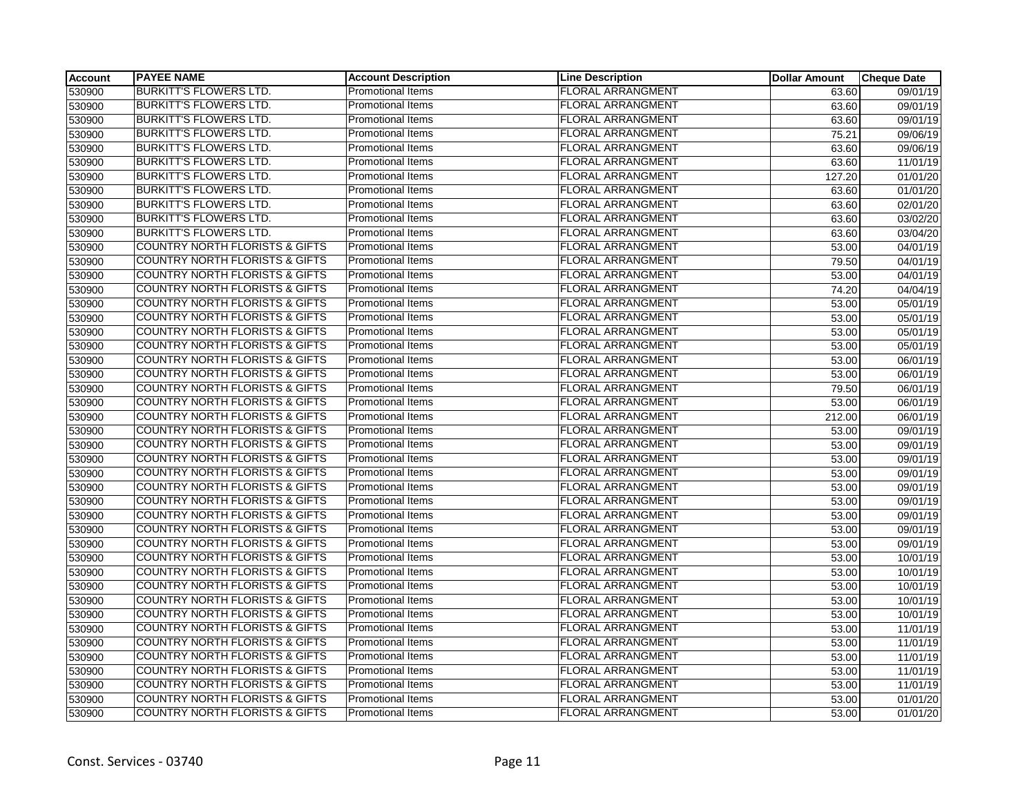| Account | <b>PAYEE NAME</b>                         | <b>Account Description</b> | <b>Line Description</b>  | <b>Dollar Amount</b> | <b>Cheque Date</b>    |
|---------|-------------------------------------------|----------------------------|--------------------------|----------------------|-----------------------|
| 530900  | <b>BURKITT'S FLOWERS LTD.</b>             | Promotional Items          | <b>FLORAL ARRANGMENT</b> | 63.60                | 09/01/19              |
| 530900  | <b>BURKITT'S FLOWERS LTD.</b>             | <b>Promotional Items</b>   | FLORAL ARRANGMENT        | 63.60                | 09/01/19              |
| 530900  | <b>BURKITT'S FLOWERS LTD.</b>             | Promotional Items          | <b>FLORAL ARRANGMENT</b> | 63.60                | 09/01/19              |
| 530900  | <b>BURKITT'S FLOWERS LTD.</b>             | Promotional Items          | <b>FLORAL ARRANGMENT</b> | 75.21                | 09/06/19              |
| 530900  | <b>BURKITT'S FLOWERS LTD.</b>             | Promotional Items          | <b>FLORAL ARRANGMENT</b> | 63.60                | 09/06/19              |
| 530900  | <b>BURKITT'S FLOWERS LTD.</b>             | Promotional Items          | <b>FLORAL ARRANGMENT</b> | 63.60                | 11/01/19              |
| 530900  | <b>BURKITT'S FLOWERS LTD.</b>             | Promotional Items          | <b>FLORAL ARRANGMENT</b> | 127.20               | $\overline{01/01/20}$ |
| 530900  | <b>BURKITT'S FLOWERS LTD.</b>             | Promotional Items          | <b>FLORAL ARRANGMENT</b> | 63.60                | 01/01/20              |
| 530900  | <b>BURKITT'S FLOWERS LTD.</b>             | <b>Promotional Items</b>   | <b>FLORAL ARRANGMENT</b> | 63.60                | 02/01/20              |
| 530900  | <b>BURKITT'S FLOWERS LTD.</b>             | <b>Promotional Items</b>   | <b>FLORAL ARRANGMENT</b> | 63.60                | 03/02/20              |
| 530900  | <b>BURKITT'S FLOWERS LTD.</b>             | <b>Promotional Items</b>   | <b>FLORAL ARRANGMENT</b> | 63.60                | 03/04/20              |
| 530900  | <b>COUNTRY NORTH FLORISTS &amp; GIFTS</b> | <b>Promotional Items</b>   | <b>FLORAL ARRANGMENT</b> | 53.00                | 04/01/19              |
| 530900  | <b>COUNTRY NORTH FLORISTS &amp; GIFTS</b> | Promotional Items          | FLORAL ARRANGMENT        | 79.50                | 04/01/19              |
| 530900  | <b>COUNTRY NORTH FLORISTS &amp; GIFTS</b> | <b>Promotional Items</b>   | <b>FLORAL ARRANGMENT</b> | 53.00                | 04/01/19              |
| 530900  | <b>COUNTRY NORTH FLORISTS &amp; GIFTS</b> | <b>Promotional Items</b>   | <b>FLORAL ARRANGMENT</b> | 74.20                | 04/04/19              |
| 530900  | <b>COUNTRY NORTH FLORISTS &amp; GIFTS</b> | <b>Promotional Items</b>   | <b>FLORAL ARRANGMENT</b> | 53.00                | 05/01/19              |
| 530900  | <b>COUNTRY NORTH FLORISTS &amp; GIFTS</b> | Promotional Items          | <b>FLORAL ARRANGMENT</b> | 53.00                | 05/01/19              |
| 530900  | <b>COUNTRY NORTH FLORISTS &amp; GIFTS</b> | <b>Promotional Items</b>   | FLORAL ARRANGMENT        | 53.00                | 05/01/19              |
| 530900  | <b>COUNTRY NORTH FLORISTS &amp; GIFTS</b> | <b>Promotional Items</b>   | FLORAL ARRANGMENT        | 53.00                | 05/01/19              |
| 530900  | <b>COUNTRY NORTH FLORISTS &amp; GIFTS</b> | Promotional Items          | <b>FLORAL ARRANGMENT</b> | 53.00                | 06/01/19              |
| 530900  | <b>COUNTRY NORTH FLORISTS &amp; GIFTS</b> | Promotional Items          | <b>FLORAL ARRANGMENT</b> | 53.00                | 06/01/19              |
| 530900  | <b>COUNTRY NORTH FLORISTS &amp; GIFTS</b> | <b>Promotional Items</b>   | <b>FLORAL ARRANGMENT</b> | 79.50                | 06/01/19              |
| 530900  | <b>COUNTRY NORTH FLORISTS &amp; GIFTS</b> | <b>Promotional Items</b>   | <b>FLORAL ARRANGMENT</b> | 53.00                | 06/01/19              |
| 530900  | <b>COUNTRY NORTH FLORISTS &amp; GIFTS</b> | <b>Promotional Items</b>   | <b>FLORAL ARRANGMENT</b> | 212.00               | 06/01/19              |
| 530900  | <b>COUNTRY NORTH FLORISTS &amp; GIFTS</b> | <b>Promotional Items</b>   | <b>FLORAL ARRANGMENT</b> | 53.00                | 09/01/19              |
| 530900  | <b>COUNTRY NORTH FLORISTS &amp; GIFTS</b> | <b>Promotional Items</b>   | <b>FLORAL ARRANGMENT</b> | 53.00                | 09/01/19              |
| 530900  | <b>COUNTRY NORTH FLORISTS &amp; GIFTS</b> | <b>Promotional Items</b>   | <b>FLORAL ARRANGMENT</b> | 53.00                | 09/01/19              |
| 530900  | <b>COUNTRY NORTH FLORISTS &amp; GIFTS</b> | <b>Promotional Items</b>   | <b>FLORAL ARRANGMENT</b> | 53.00                | 09/01/19              |
| 530900  | <b>COUNTRY NORTH FLORISTS &amp; GIFTS</b> | Promotional Items          | <b>FLORAL ARRANGMENT</b> | 53.00                | 09/01/19              |
| 530900  | <b>COUNTRY NORTH FLORISTS &amp; GIFTS</b> | <b>Promotional Items</b>   | <b>FLORAL ARRANGMENT</b> | 53.00                | 09/01/19              |
| 530900  | <b>COUNTRY NORTH FLORISTS &amp; GIFTS</b> | Promotional Items          | <b>FLORAL ARRANGMENT</b> | 53.00                | 09/01/19              |
| 530900  | <b>COUNTRY NORTH FLORISTS &amp; GIFTS</b> | <b>Promotional Items</b>   | <b>FLORAL ARRANGMENT</b> | 53.00                | 09/01/19              |
| 530900  | <b>COUNTRY NORTH FLORISTS &amp; GIFTS</b> | Promotional Items          | <b>FLORAL ARRANGMENT</b> | 53.00                | 09/01/19              |
| 530900  | <b>COUNTRY NORTH FLORISTS &amp; GIFTS</b> | Promotional Items          | <b>FLORAL ARRANGMENT</b> | 53.00                | 10/01/19              |
| 530900  | <b>COUNTRY NORTH FLORISTS &amp; GIFTS</b> | <b>Promotional Items</b>   | <b>FLORAL ARRANGMENT</b> | 53.00                | 10/01/19              |
| 530900  | <b>COUNTRY NORTH FLORISTS &amp; GIFTS</b> | <b>Promotional Items</b>   | <b>FLORAL ARRANGMENT</b> | 53.00                | 10/01/19              |
| 530900  | <b>COUNTRY NORTH FLORISTS &amp; GIFTS</b> | Promotional Items          | <b>FLORAL ARRANGMENT</b> | 53.00                | 10/01/19              |
| 530900  | <b>COUNTRY NORTH FLORISTS &amp; GIFTS</b> | Promotional Items          | <b>FLORAL ARRANGMENT</b> | 53.00                | 10/01/19              |
| 530900  | <b>COUNTRY NORTH FLORISTS &amp; GIFTS</b> | Promotional Items          | <b>FLORAL ARRANGMENT</b> | 53.00                | 11/01/19              |
| 530900  | <b>COUNTRY NORTH FLORISTS &amp; GIFTS</b> | <b>Promotional Items</b>   | <b>FLORAL ARRANGMENT</b> | 53.00                | 11/01/19              |
| 530900  | <b>COUNTRY NORTH FLORISTS &amp; GIFTS</b> | <b>Promotional Items</b>   | <b>FLORAL ARRANGMENT</b> | 53.00                | 11/01/19              |
| 530900  | <b>COUNTRY NORTH FLORISTS &amp; GIFTS</b> | <b>Promotional Items</b>   | <b>FLORAL ARRANGMENT</b> | 53.00                | 11/01/19              |
| 530900  | <b>COUNTRY NORTH FLORISTS &amp; GIFTS</b> | Promotional Items          | <b>FLORAL ARRANGMENT</b> | 53.00                | 11/01/19              |
| 530900  | <b>COUNTRY NORTH FLORISTS &amp; GIFTS</b> | Promotional Items          | <b>FLORAL ARRANGMENT</b> | 53.00                | 01/01/20              |
| 530900  | <b>COUNTRY NORTH FLORISTS &amp; GIFTS</b> | <b>Promotional Items</b>   | <b>FLORAL ARRANGMENT</b> | 53.00                | 01/01/20              |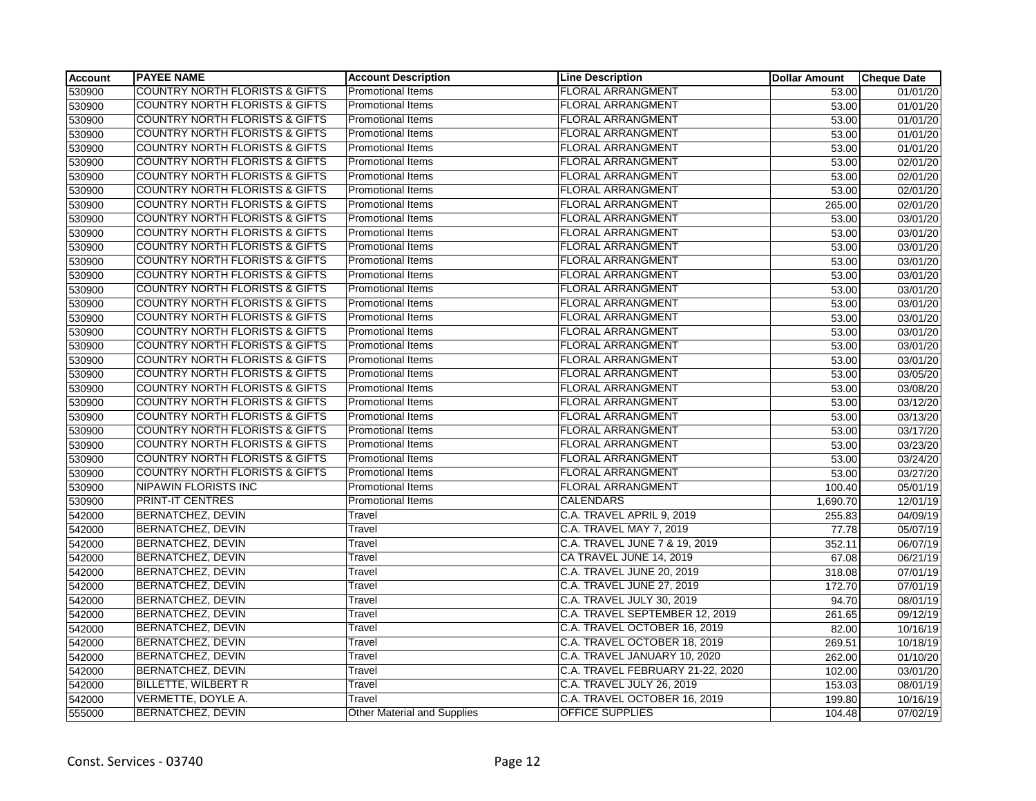| Account | <b>PAYEE NAME</b>                         | <b>Account Description</b>         | <b>Line Description</b>          | <b>Dollar Amount</b> | <b>Cheque Date</b>    |
|---------|-------------------------------------------|------------------------------------|----------------------------------|----------------------|-----------------------|
| 530900  | <b>COUNTRY NORTH FLORISTS &amp; GIFTS</b> | Promotional Items                  | <b>FLORAL ARRANGMENT</b>         | 53.00                | 01/01/20              |
| 530900  | <b>COUNTRY NORTH FLORISTS &amp; GIFTS</b> | <b>Promotional Items</b>           | <b>FLORAL ARRANGMENT</b>         | 53.00                | 01/01/20              |
| 530900  | <b>COUNTRY NORTH FLORISTS &amp; GIFTS</b> | <b>Promotional Items</b>           | <b>FLORAL ARRANGMENT</b>         | 53.00                | 01/01/20              |
| 530900  | <b>COUNTRY NORTH FLORISTS &amp; GIFTS</b> | <b>Promotional Items</b>           | <b>FLORAL ARRANGMENT</b>         | 53.00                | 01/01/20              |
| 530900  | <b>COUNTRY NORTH FLORISTS &amp; GIFTS</b> | Promotional Items                  | <b>FLORAL ARRANGMENT</b>         | 53.00                | 01/01/20              |
| 530900  | <b>COUNTRY NORTH FLORISTS &amp; GIFTS</b> | <b>Promotional Items</b>           | <b>FLORAL ARRANGMENT</b>         | 53.00                | 02/01/20              |
| 530900  | <b>COUNTRY NORTH FLORISTS &amp; GIFTS</b> | <b>Promotional Items</b>           | <b>FLORAL ARRANGMENT</b>         | 53.00                | 02/01/20              |
| 530900  | <b>COUNTRY NORTH FLORISTS &amp; GIFTS</b> | <b>Promotional Items</b>           | <b>FLORAL ARRANGMENT</b>         | 53.00                | 02/01/20              |
| 530900  | <b>COUNTRY NORTH FLORISTS &amp; GIFTS</b> | <b>Promotional Items</b>           | <b>FLORAL ARRANGMENT</b>         | 265.00               | 02/01/20              |
| 530900  | <b>COUNTRY NORTH FLORISTS &amp; GIFTS</b> | <b>Promotional Items</b>           | <b>FLORAL ARRANGMENT</b>         | 53.00                | 03/01/20              |
| 530900  | <b>COUNTRY NORTH FLORISTS &amp; GIFTS</b> | Promotional Items                  | <b>FLORAL ARRANGMENT</b>         | 53.00                | 03/01/20              |
| 530900  | <b>COUNTRY NORTH FLORISTS &amp; GIFTS</b> | <b>Promotional Items</b>           | <b>FLORAL ARRANGMENT</b>         | 53.00                | 03/01/20              |
| 530900  | <b>COUNTRY NORTH FLORISTS &amp; GIFTS</b> | <b>Promotional Items</b>           | <b>FLORAL ARRANGMENT</b>         | 53.00                | 03/01/20              |
| 530900  | <b>COUNTRY NORTH FLORISTS &amp; GIFTS</b> | <b>Promotional Items</b>           | <b>FLORAL ARRANGMENT</b>         | 53.00                | 03/01/20              |
| 530900  | <b>COUNTRY NORTH FLORISTS &amp; GIFTS</b> | <b>Promotional Items</b>           | <b>FLORAL ARRANGMENT</b>         | 53.00                | 03/01/20              |
| 530900  | <b>COUNTRY NORTH FLORISTS &amp; GIFTS</b> | <b>Promotional Items</b>           | <b>FLORAL ARRANGMENT</b>         | 53.00                | 03/01/20              |
| 530900  | <b>COUNTRY NORTH FLORISTS &amp; GIFTS</b> | <b>Promotional Items</b>           | <b>FLORAL ARRANGMENT</b>         | 53.00                | 03/01/20              |
| 530900  | <b>COUNTRY NORTH FLORISTS &amp; GIFTS</b> | <b>Promotional Items</b>           | <b>FLORAL ARRANGMENT</b>         | 53.00                | 03/01/20              |
| 530900  | <b>COUNTRY NORTH FLORISTS &amp; GIFTS</b> | <b>Promotional Items</b>           | <b>FLORAL ARRANGMENT</b>         | 53.00                | 03/01/20              |
| 530900  | <b>COUNTRY NORTH FLORISTS &amp; GIFTS</b> | <b>Promotional Items</b>           | <b>FLORAL ARRANGMENT</b>         | 53.00                | 03/01/20              |
| 530900  | <b>COUNTRY NORTH FLORISTS &amp; GIFTS</b> | Promotional Items                  | <b>FLORAL ARRANGMENT</b>         | 53.00                | 03/05/20              |
| 530900  | <b>COUNTRY NORTH FLORISTS &amp; GIFTS</b> | Promotional Items                  | <b>FLORAL ARRANGMENT</b>         | 53.00                | 03/08/20              |
| 530900  | <b>COUNTRY NORTH FLORISTS &amp; GIFTS</b> | <b>Promotional Items</b>           | <b>FLORAL ARRANGMENT</b>         | 53.00                | 03/12/20              |
| 530900  | <b>COUNTRY NORTH FLORISTS &amp; GIFTS</b> | <b>Promotional Items</b>           | <b>FLORAL ARRANGMENT</b>         | 53.00                | 03/13/20              |
| 530900  | <b>COUNTRY NORTH FLORISTS &amp; GIFTS</b> | Promotional Items                  | <b>FLORAL ARRANGMENT</b>         | 53.00                | 03/17/20              |
| 530900  | <b>COUNTRY NORTH FLORISTS &amp; GIFTS</b> | Promotional Items                  | <b>FLORAL ARRANGMENT</b>         | 53.00                | 03/23/20              |
| 530900  | <b>COUNTRY NORTH FLORISTS &amp; GIFTS</b> | Promotional Items                  | <b>FLORAL ARRANGMENT</b>         | 53.00                | 03/24/20              |
| 530900  | <b>COUNTRY NORTH FLORISTS &amp; GIFTS</b> | <b>Promotional Items</b>           | <b>FLORAL ARRANGMENT</b>         | 53.00                | 03/27/20              |
| 530900  | <b>NIPAWIN FLORISTS INC</b>               | <b>Promotional Items</b>           | <b>FLORAL ARRANGMENT</b>         | 100.40               | 05/01/19              |
| 530900  | <b>PRINT-IT CENTRES</b>                   | Promotional Items                  | <b>CALENDARS</b>                 | 1,690.70             | 12/01/19              |
| 542000  | <b>BERNATCHEZ, DEVIN</b>                  | Travel                             | C.A. TRAVEL APRIL 9, 2019        | 255.83               | $\overline{04/09/19}$ |
| 542000  | <b>BERNATCHEZ, DEVIN</b>                  | Travel                             | <b>C.A. TRAVEL MAY 7, 2019</b>   | 77.78                | 05/07/19              |
| 542000  | <b>BERNATCHEZ, DEVIN</b>                  | Travel                             | C.A. TRAVEL JUNE 7 & 19, 2019    | 352.11               | 06/07/19              |
| 542000  | <b>BERNATCHEZ, DEVIN</b>                  | Travel                             | CA TRAVEL JUNE 14, 2019          | 67.08                | 06/21/19              |
| 542000  | <b>BERNATCHEZ, DEVIN</b>                  | Travel                             | C.A. TRAVEL JUNE 20, 2019        | 318.08               | 07/01/19              |
| 542000  | BERNATCHEZ, DEVIN                         | Travel                             | C.A. TRAVEL JUNE 27, 2019        | 172.70               | 07/01/19              |
| 542000  | <b>BERNATCHEZ, DEVIN</b>                  | Travel                             | C.A. TRAVEL JULY 30, 2019        | 94.70                | 08/01/19              |
| 542000  | <b>BERNATCHEZ, DEVIN</b>                  | Travel                             | C.A. TRAVEL SEPTEMBER 12, 2019   | 261.65               | 09/12/19              |
| 542000  | <b>BERNATCHEZ, DEVIN</b>                  | Travel                             | C.A. TRAVEL OCTOBER 16, 2019     | 82.00                | 10/16/19              |
| 542000  | BERNATCHEZ, DEVIN                         | Travel                             | C.A. TRAVEL OCTOBER 18, 2019     | 269.51               | 10/18/19              |
| 542000  | <b>BERNATCHEZ, DEVIN</b>                  | Travel                             | C.A. TRAVEL JANUARY 10, 2020     | 262.00               | 01/10/20              |
| 542000  | <b>BERNATCHEZ, DEVIN</b>                  | Travel                             | C.A. TRAVEL FEBRUARY 21-22, 2020 | 102.00               | 03/01/20              |
| 542000  | <b>BILLETTE, WILBERT R</b>                | Travel                             | C.A. TRAVEL JULY 26, 2019        | 153.03               | 08/01/19              |
| 542000  | VERMETTE, DOYLE A.                        | Travel                             | C.A. TRAVEL OCTOBER 16, 2019     | 199.80               | 10/16/19              |
| 555000  | <b>BERNATCHEZ, DEVIN</b>                  | <b>Other Material and Supplies</b> | <b>OFFICE SUPPLIES</b>           | 104.48               | 07/02/19              |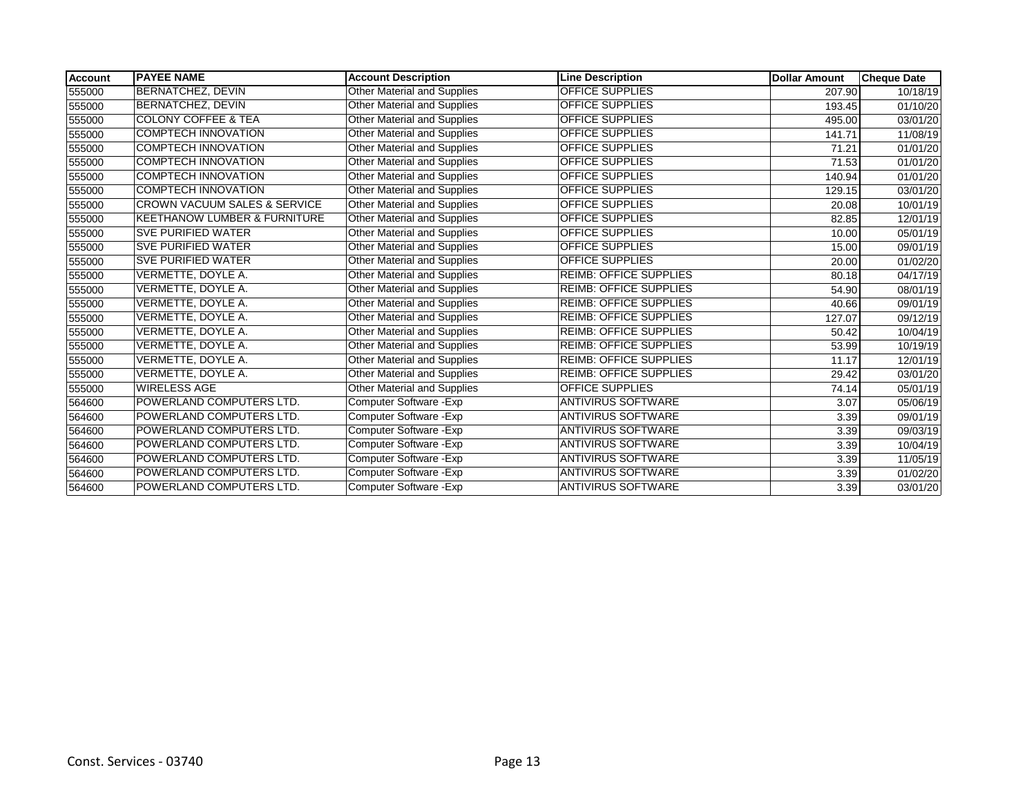| <b>Account</b> | <b>IPAYEE NAME</b>                      | <b>Account Description</b>         | <b>Line Description</b>       | <b>Dollar Amount</b> | <b>Cheque Date</b>    |
|----------------|-----------------------------------------|------------------------------------|-------------------------------|----------------------|-----------------------|
| 555000         | <b>BERNATCHEZ, DEVIN</b>                | Other Material and Supplies        | <b>OFFICE SUPPLIES</b>        | 207.90               | 10/18/19              |
| 555000         | <b>BERNATCHEZ, DEVIN</b>                | Other Material and Supplies        | <b>OFFICE SUPPLIES</b>        | 193.45               | 01/10/20              |
| 555000         | <b>COLONY COFFEE &amp; TEA</b>          | Other Material and Supplies        | <b>OFFICE SUPPLIES</b>        | 495.00               | 03/01/20              |
| 555000         | <b>COMPTECH INNOVATION</b>              | Other Material and Supplies        | <b>OFFICE SUPPLIES</b>        | 141.71               | 11/08/19              |
| 555000         | <b>COMPTECH INNOVATION</b>              | <b>Other Material and Supplies</b> | <b>OFFICE SUPPLIES</b>        | 71.21                | 01/01/20              |
| 555000         | <b>COMPTECH INNOVATION</b>              | Other Material and Supplies        | <b>OFFICE SUPPLIES</b>        | 71.53                | 01/01/20              |
| 555000         | <b>COMPTECH INNOVATION</b>              | <b>Other Material and Supplies</b> | <b>OFFICE SUPPLIES</b>        | 140.94               | 01/01/20              |
| 555000         | <b>COMPTECH INNOVATION</b>              | <b>Other Material and Supplies</b> | <b>OFFICE SUPPLIES</b>        | 129.15               | 03/01/20              |
| 555000         | <b>CROWN VACUUM SALES &amp; SERVICE</b> | <b>Other Material and Supplies</b> | <b>OFFICE SUPPLIES</b>        | 20.08                | 10/01/19              |
| 555000         | <b>KEETHANOW LUMBER &amp; FURNITURE</b> | Other Material and Supplies        | OFFICE SUPPLIES               | 82.85                | 12/01/19              |
| 555000         | <b>SVE PURIFIED WATER</b>               | Other Material and Supplies        | OFFICE SUPPLIES               | 10.00                | 05/01/19              |
| 555000         | <b>SVE PURIFIED WATER</b>               | <b>Other Material and Supplies</b> | <b>OFFICE SUPPLIES</b>        | 15.00                | 09/01/19              |
| 555000         | <b>SVE PURIFIED WATER</b>               | Other Material and Supplies        | <b>OFFICE SUPPLIES</b>        | 20.00                | 01/02/20              |
| 555000         | VERMETTE, DOYLE A.                      | <b>Other Material and Supplies</b> | <b>REIMB: OFFICE SUPPLIES</b> | 80.18                | 04/17/19              |
| 555000         | VERMETTE, DOYLE A.                      | Other Material and Supplies        | <b>REIMB: OFFICE SUPPLIES</b> | 54.90                | 08/01/19              |
| 555000         | VERMETTE, DOYLE A.                      | Other Material and Supplies        | <b>REIMB: OFFICE SUPPLIES</b> | 40.66                | 09/01/19              |
| 555000         | VERMETTE, DOYLE A.                      | <b>Other Material and Supplies</b> | <b>REIMB: OFFICE SUPPLIES</b> | 127.07               | 09/12/19              |
| 555000         | VERMETTE, DOYLE A.                      | <b>Other Material and Supplies</b> | <b>REIMB: OFFICE SUPPLIES</b> | 50.42                | 10/04/19              |
| 555000         | VERMETTE, DOYLE A.                      | Other Material and Supplies        | <b>REIMB: OFFICE SUPPLIES</b> | 53.99                | 10/19/19              |
| 555000         | VERMETTE, DOYLE A.                      | Other Material and Supplies        | <b>REIMB: OFFICE SUPPLIES</b> | 11.17                | 12/01/19              |
| 555000         | VERMETTE, DOYLE A.                      | <b>Other Material and Supplies</b> | <b>REIMB: OFFICE SUPPLIES</b> | 29.42                | $\overline{03}/01/20$ |
| 555000         | <b>WIRELESS AGE</b>                     | Other Material and Supplies        | OFFICE SUPPLIES               | 74.14                | 05/01/19              |
| 564600         | POWERLAND COMPUTERS LTD.                | Computer Software - Exp            | <b>ANTIVIRUS SOFTWARE</b>     | 3.07                 | 05/06/19              |
| 564600         | POWERLAND COMPUTERS LTD.                | Computer Software - Exp            | <b>ANTIVIRUS SOFTWARE</b>     | 3.39                 | 09/01/19              |
| 564600         | POWERLAND COMPUTERS LTD.                | Computer Software - Exp            | <b>ANTIVIRUS SOFTWARE</b>     | 3.39                 | 09/03/19              |
| 564600         | POWERLAND COMPUTERS LTD.                | Computer Software - Exp            | <b>ANTIVIRUS SOFTWARE</b>     | 3.39                 | 10/04/19              |
| 564600         | POWERLAND COMPUTERS LTD.                | Computer Software - Exp            | <b>ANTIVIRUS SOFTWARE</b>     | 3.39                 | 11/05/19              |
| 564600         | POWERLAND COMPUTERS LTD.                | Computer Software - Exp            | <b>ANTIVIRUS SOFTWARE</b>     | 3.39                 | 01/02/20              |
| 564600         | POWERLAND COMPUTERS LTD.                | <b>Computer Software - Exp</b>     | <b>ANTIVIRUS SOFTWARE</b>     | 3.39                 | 03/01/20              |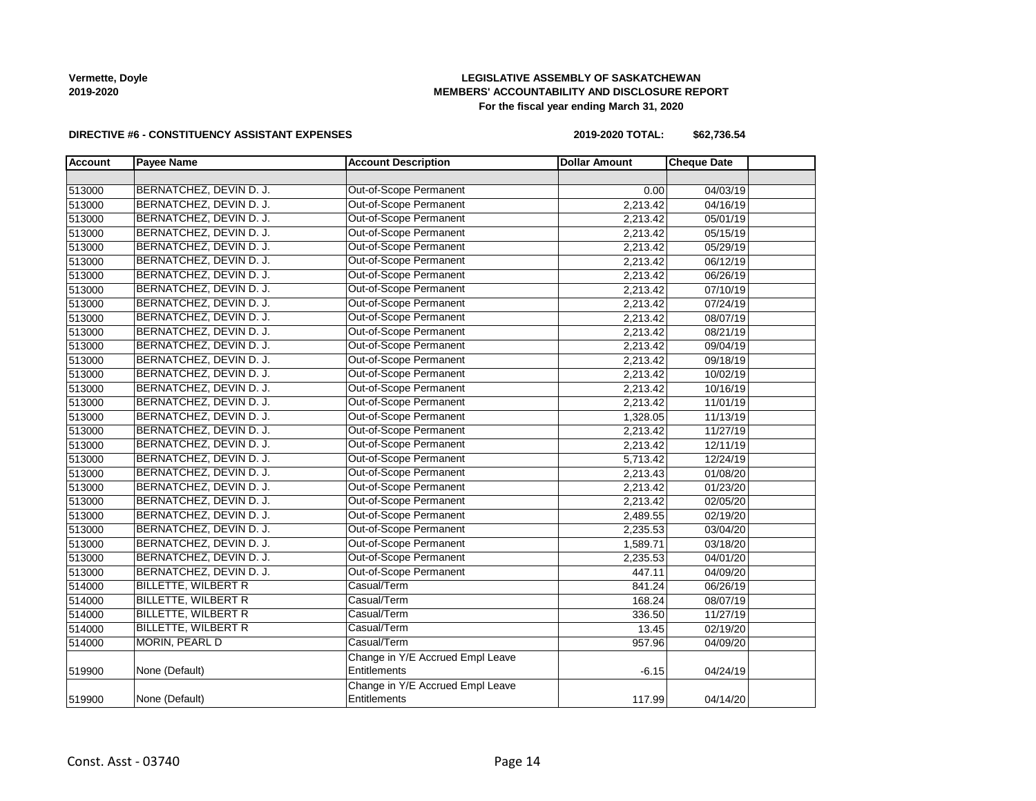# **LEGISLATIVE ASSEMBLY OF SASKATCHEWAN MEMBERS' ACCOUNTABILITY AND DISCLOSURE REPORT For the fiscal year ending March 31, 2020**

#### **DIRECTIVE #6 - CONSTITUENCY ASSISTANT EXPENSES**

**2019-2020 TOTAL: \$62,736.54**

| <b>Account</b> | <b>Payee Name</b>          | <b>Account Description</b>       | <b>Dollar Amount</b> | <b>Cheque Date</b> |
|----------------|----------------------------|----------------------------------|----------------------|--------------------|
|                |                            |                                  |                      |                    |
| 513000         | BERNATCHEZ, DEVIN D. J.    | Out-of-Scope Permanent           | 0.00                 | 04/03/19           |
| 513000         | BERNATCHEZ, DEVIN D. J.    | Out-of-Scope Permanent           | 2,213.42             | 04/16/19           |
| 513000         | BERNATCHEZ, DEVIN D. J.    | Out-of-Scope Permanent           | 2,213.42             | 05/01/19           |
| 513000         | BERNATCHEZ, DEVIN D. J.    | Out-of-Scope Permanent           | 2,213.42             | 05/15/19           |
| 513000         | BERNATCHEZ, DEVIN D. J.    | Out-of-Scope Permanent           | 2,213.42             | 05/29/19           |
| 513000         | BERNATCHEZ, DEVIN D. J.    | Out-of-Scope Permanent           | 2,213.42             | 06/12/19           |
| 513000         | BERNATCHEZ, DEVIN D. J.    | Out-of-Scope Permanent           | 2,213.42             | 06/26/19           |
| 513000         | BERNATCHEZ, DEVIN D. J.    | Out-of-Scope Permanent           | 2,213.42             | 07/10/19           |
| 513000         | BERNATCHEZ, DEVIN D. J.    | Out-of-Scope Permanent           | 2,213.42             | 07/24/19           |
| 513000         | BERNATCHEZ, DEVIN D. J.    | Out-of-Scope Permanent           | 2,213.42             | 08/07/19           |
| 513000         | BERNATCHEZ, DEVIN D. J.    | Out-of-Scope Permanent           | 2,213.42             | 08/21/19           |
| 513000         | BERNATCHEZ, DEVIN D. J.    | Out-of-Scope Permanent           | 2,213.42             | 09/04/19           |
| 513000         | BERNATCHEZ, DEVIN D. J.    | Out-of-Scope Permanent           | 2,213.42             | 09/18/19           |
| 513000         | BERNATCHEZ, DEVIN D. J.    | Out-of-Scope Permanent           | 2,213.42             | 10/02/19           |
| 513000         | BERNATCHEZ, DEVIN D. J.    | Out-of-Scope Permanent           | 2,213.42             | 10/16/19           |
| 513000         | BERNATCHEZ, DEVIN D. J.    | Out-of-Scope Permanent           | 2,213.42             | 11/01/19           |
| 513000         | BERNATCHEZ, DEVIN D. J.    | Out-of-Scope Permanent           | 1,328.05             | 11/13/19           |
| 513000         | BERNATCHEZ, DEVIN D. J.    | Out-of-Scope Permanent           | 2,213.42             | 11/27/19           |
| 513000         | BERNATCHEZ, DEVIN D. J.    | Out-of-Scope Permanent           | 2,213.42             | 12/11/19           |
| 513000         | BERNATCHEZ, DEVIN D. J.    | Out-of-Scope Permanent           | 5,713.42             | 12/24/19           |
| 513000         | BERNATCHEZ, DEVIN D. J.    | Out-of-Scope Permanent           | 2,213.43             | 01/08/20           |
| 513000         | BERNATCHEZ, DEVIN D. J.    | <b>Out-of-Scope Permanent</b>    | 2,213.42             | 01/23/20           |
| 513000         | BERNATCHEZ, DEVIN D. J.    | Out-of-Scope Permanent           | 2,213.42             | 02/05/20           |
| 513000         | BERNATCHEZ, DEVIN D. J.    | Out-of-Scope Permanent           | 2,489.55             | 02/19/20           |
| 513000         | BERNATCHEZ, DEVIN D. J.    | Out-of-Scope Permanent           | 2,235.53             | 03/04/20           |
| 513000         | BERNATCHEZ, DEVIN D. J.    | Out-of-Scope Permanent           | 1,589.71             | 03/18/20           |
| 513000         | BERNATCHEZ, DEVIN D. J.    | Out-of-Scope Permanent           | 2,235.53             | 04/01/20           |
| 513000         | BERNATCHEZ, DEVIN D. J.    | Out-of-Scope Permanent           | 447.11               | 04/09/20           |
| 514000         | <b>BILLETTE, WILBERT R</b> | Casual/Term                      | 841.24               | 06/26/19           |
| 514000         | BILLETTE, WILBERT R        | Casual/Term                      | 168.24               | 08/07/19           |
| 514000         | <b>BILLETTE, WILBERT R</b> | Casual/Term                      | 336.50               | 11/27/19           |
| 514000         | <b>BILLETTE, WILBERT R</b> | Casual/Term                      | 13.45                | 02/19/20           |
| 514000         | MORIN, PEARL D             | Casual/Term                      | 957.96               | 04/09/20           |
|                |                            | Change in Y/E Accrued Empl Leave |                      |                    |
| 519900         | None (Default)             | Entitlements                     | $-6.15$              | 04/24/19           |
|                |                            | Change in Y/E Accrued Empl Leave |                      |                    |
| 519900         | None (Default)             | Entitlements                     | 117.99               | 04/14/20           |